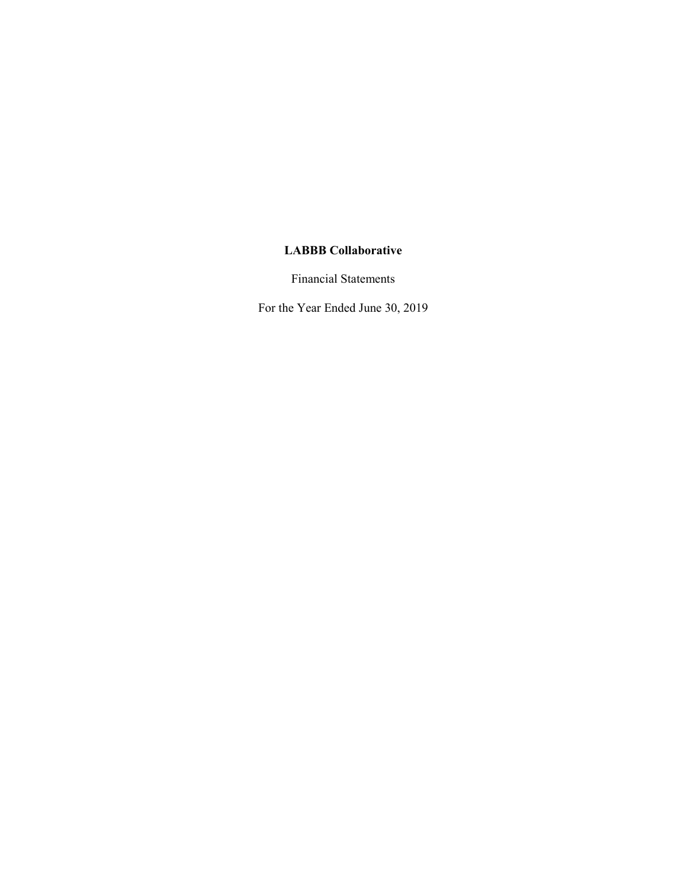Financial Statements

For the Year Ended June 30, 2019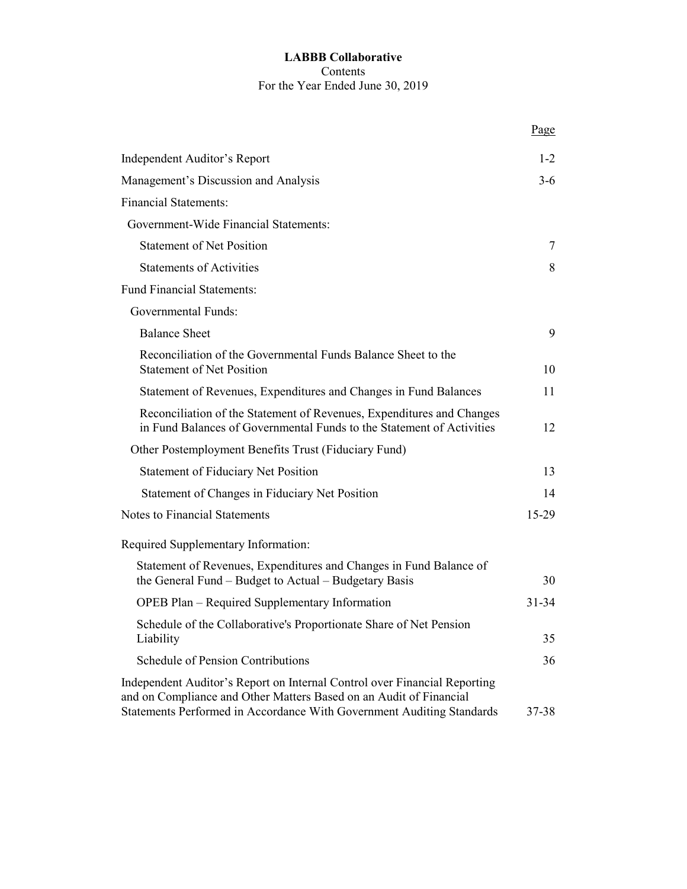## **LABBB Collaborative** Contents For the Year Ended June 30, 2019

|                                                                                                                                                                                                                          | Page      |
|--------------------------------------------------------------------------------------------------------------------------------------------------------------------------------------------------------------------------|-----------|
| Independent Auditor's Report                                                                                                                                                                                             | $1 - 2$   |
| Management's Discussion and Analysis                                                                                                                                                                                     | $3-6$     |
| <b>Financial Statements:</b>                                                                                                                                                                                             |           |
| Government-Wide Financial Statements:                                                                                                                                                                                    |           |
| <b>Statement of Net Position</b>                                                                                                                                                                                         | 7         |
| <b>Statements of Activities</b>                                                                                                                                                                                          | 8         |
| <b>Fund Financial Statements:</b>                                                                                                                                                                                        |           |
| Governmental Funds:                                                                                                                                                                                                      |           |
| <b>Balance Sheet</b>                                                                                                                                                                                                     | 9         |
| Reconciliation of the Governmental Funds Balance Sheet to the<br><b>Statement of Net Position</b>                                                                                                                        | 10        |
| Statement of Revenues, Expenditures and Changes in Fund Balances                                                                                                                                                         | 11        |
| Reconciliation of the Statement of Revenues, Expenditures and Changes<br>in Fund Balances of Governmental Funds to the Statement of Activities                                                                           | 12        |
| Other Postemployment Benefits Trust (Fiduciary Fund)                                                                                                                                                                     |           |
| <b>Statement of Fiduciary Net Position</b>                                                                                                                                                                               | 13        |
| Statement of Changes in Fiduciary Net Position                                                                                                                                                                           | 14        |
| <b>Notes to Financial Statements</b>                                                                                                                                                                                     | $15-29$   |
| Required Supplementary Information:                                                                                                                                                                                      |           |
| Statement of Revenues, Expenditures and Changes in Fund Balance of<br>the General Fund – Budget to Actual – Budgetary Basis                                                                                              | 30        |
| <b>OPEB Plan – Required Supplementary Information</b>                                                                                                                                                                    | $31 - 34$ |
| Schedule of the Collaborative's Proportionate Share of Net Pension<br>Liability                                                                                                                                          | 35        |
| <b>Schedule of Pension Contributions</b>                                                                                                                                                                                 | 36        |
| Independent Auditor's Report on Internal Control over Financial Reporting<br>and on Compliance and Other Matters Based on an Audit of Financial<br>Statements Performed in Accordance With Government Auditing Standards | 37-38     |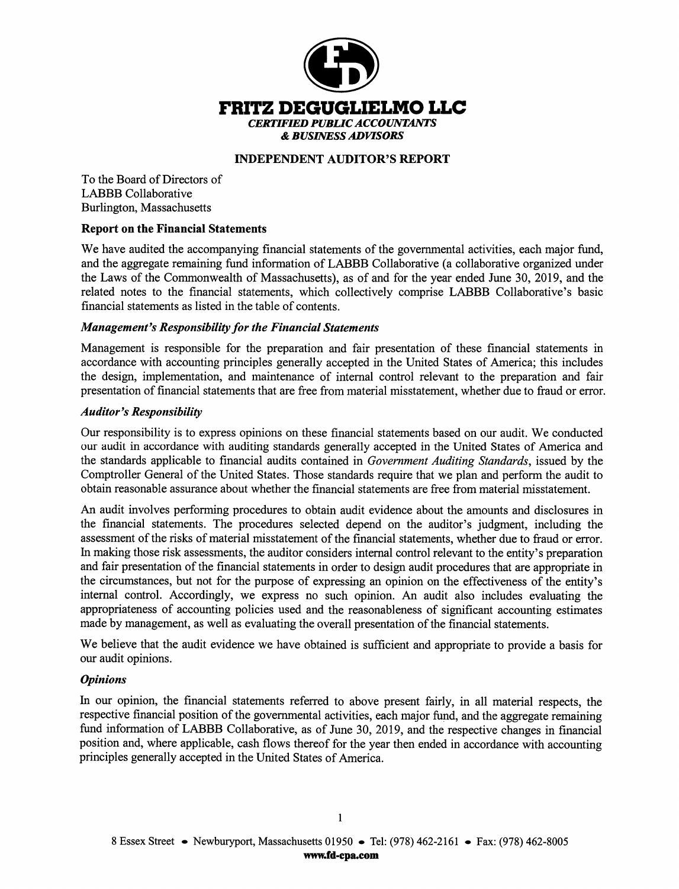

## **INDEPENDENT AUDITOR'S REPORT**

To the Board of Directors of **LABBB Collaborative** Burlington, Massachusetts

## **Report on the Financial Statements**

We have audited the accompanying financial statements of the governmental activities, each major fund, and the aggregate remaining fund information of LABBB Collaborative (a collaborative organized under the Laws of the Commonwealth of Massachusetts), as of and for the year ended June 30, 2019, and the related notes to the financial statements, which collectively comprise LABBB Collaborative's basic financial statements as listed in the table of contents.

## **Management's Responsibility for the Financial Statements**

Management is responsible for the preparation and fair presentation of these financial statements in accordance with accounting principles generally accepted in the United States of America; this includes the design, implementation, and maintenance of internal control relevant to the preparation and fair presentation of financial statements that are free from material misstatement, whether due to fraud or error.

## **Auditor's Responsibility**

Our responsibility is to express opinions on these financial statements based on our audit. We conducted our audit in accordance with auditing standards generally accepted in the United States of America and the standards applicable to financial audits contained in Government Auditing Standards, issued by the Comptroller General of the United States. Those standards require that we plan and perform the audit to obtain reasonable assurance about whether the financial statements are free from material misstatement.

An audit involves performing procedures to obtain audit evidence about the amounts and disclosures in the financial statements. The procedures selected depend on the auditor's judgment, including the assessment of the risks of material misstatement of the financial statements, whether due to fraud or error. In making those risk assessments, the auditor considers internal control relevant to the entity's preparation and fair presentation of the financial statements in order to design audit procedures that are appropriate in the circumstances, but not for the purpose of expressing an opinion on the effectiveness of the entity's internal control. Accordingly, we express no such opinion. An audit also includes evaluating the appropriateness of accounting policies used and the reasonableness of significant accounting estimates made by management, as well as evaluating the overall presentation of the financial statements.

We believe that the audit evidence we have obtained is sufficient and appropriate to provide a basis for our audit opinions.

## **Opinions**

In our opinion, the financial statements referred to above present fairly, in all material respects, the respective financial position of the governmental activities, each major fund, and the aggregate remaining fund information of LABBB Collaborative, as of June 30, 2019, and the respective changes in financial position and, where applicable, cash flows thereof for the year then ended in accordance with accounting principles generally accepted in the United States of America.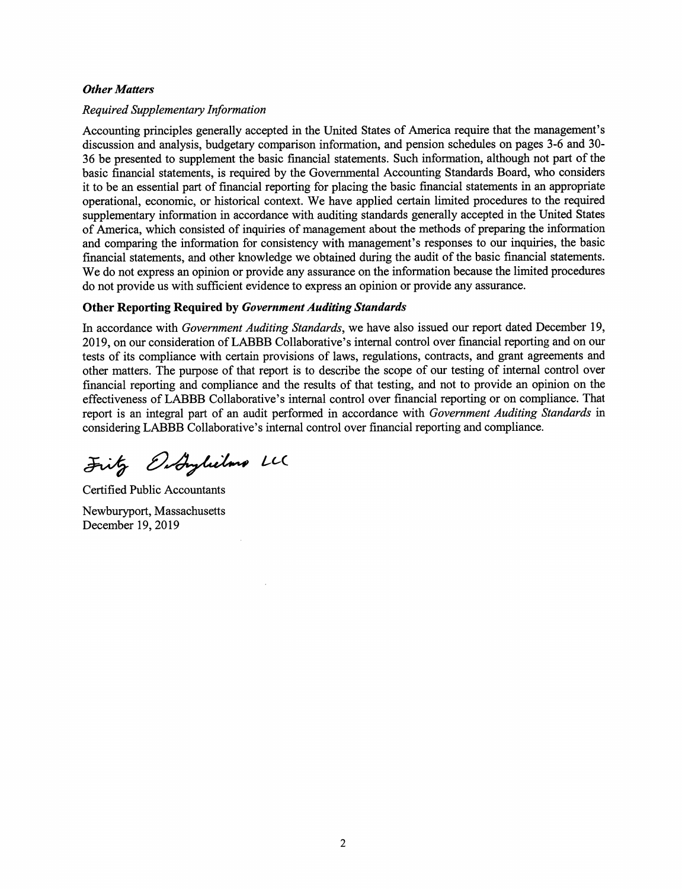#### **Other Matters**

#### **Required Supplementary Information**

Accounting principles generally accepted in the United States of America require that the management's discussion and analysis, budgetary comparison information, and pension schedules on pages 3-6 and 30-36 be presented to supplement the basic financial statements. Such information, although not part of the basic financial statements, is required by the Governmental Accounting Standards Board, who considers it to be an essential part of financial reporting for placing the basic financial statements in an appropriate operational, economic, or historical context. We have applied certain limited procedures to the required supplementary information in accordance with auditing standards generally accepted in the United States of America, which consisted of inquiries of management about the methods of preparing the information and comparing the information for consistency with management's responses to our inquiries, the basic financial statements, and other knowledge we obtained during the audit of the basic financial statements. We do not express an opinion or provide any assurance on the information because the limited procedures do not provide us with sufficient evidence to express an opinion or provide any assurance.

#### **Other Reporting Required by Government Auditing Standards**

In accordance with Government Auditing Standards, we have also issued our report dated December 19, 2019, on our consideration of LABBB Collaborative's internal control over financial reporting and on our tests of its compliance with certain provisions of laws, regulations, contracts, and grant agreements and other matters. The purpose of that report is to describe the scope of our testing of internal control over financial reporting and compliance and the results of that testing, and not to provide an opinion on the effectiveness of LABBB Collaborative's internal control over financial reporting or on compliance. That report is an integral part of an audit performed in accordance with Government Auditing Standards in considering LABBB Collaborative's internal control over financial reporting and compliance.

Fitz Osbylidoro LC

**Certified Public Accountants** Newburyport, Massachusetts December 19, 2019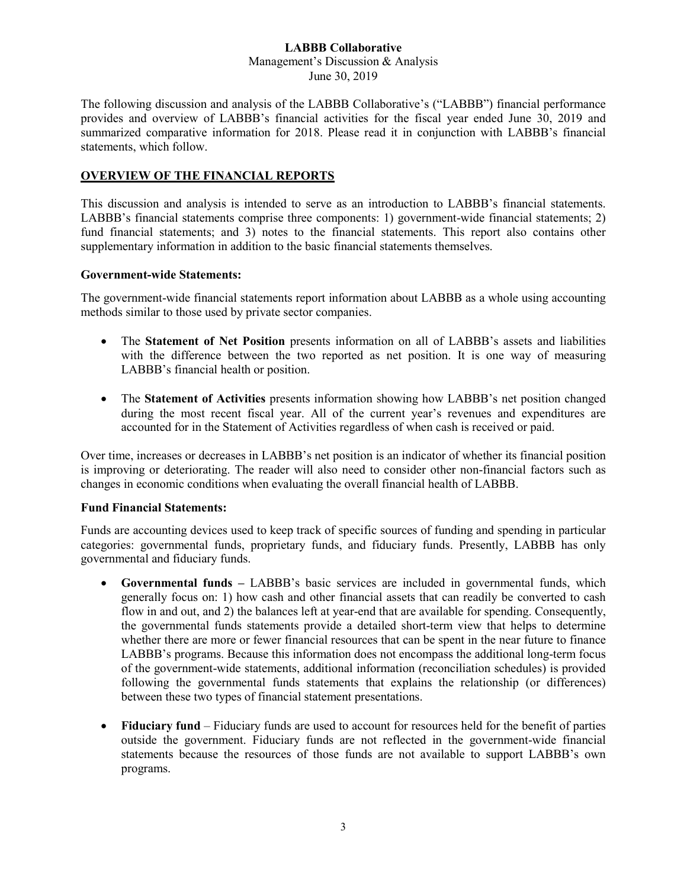#### **LABBB Collaborative** Management's Discussion & Analysis June 30, 2019

The following discussion and analysis of the LABBB Collaborative's ("LABBB") financial performance provides and overview of LABBB's financial activities for the fiscal year ended June 30, 2019 and summarized comparative information for 2018. Please read it in conjunction with LABBB's financial statements, which follow.

## **OVERVIEW OF THE FINANCIAL REPORTS**

This discussion and analysis is intended to serve as an introduction to LABBB's financial statements. LABBB's financial statements comprise three components: 1) government-wide financial statements; 2) fund financial statements; and 3) notes to the financial statements. This report also contains other supplementary information in addition to the basic financial statements themselves.

#### **Government-wide Statements:**

The government-wide financial statements report information about LABBB as a whole using accounting methods similar to those used by private sector companies.

- The **Statement of Net Position** presents information on all of LABBB's assets and liabilities with the difference between the two reported as net position. It is one way of measuring LABBB's financial health or position.
- The **Statement of Activities** presents information showing how LABBB's net position changed during the most recent fiscal year. All of the current year's revenues and expenditures are accounted for in the Statement of Activities regardless of when cash is received or paid.

Over time, increases or decreases in LABBB's net position is an indicator of whether its financial position is improving or deteriorating. The reader will also need to consider other non-financial factors such as changes in economic conditions when evaluating the overall financial health of LABBB.

## **Fund Financial Statements:**

Funds are accounting devices used to keep track of specific sources of funding and spending in particular categories: governmental funds, proprietary funds, and fiduciary funds. Presently, LABBB has only governmental and fiduciary funds.

- **Governmental funds –** LABBB's basic services are included in governmental funds, which generally focus on: 1) how cash and other financial assets that can readily be converted to cash flow in and out, and 2) the balances left at year-end that are available for spending. Consequently, the governmental funds statements provide a detailed short-term view that helps to determine whether there are more or fewer financial resources that can be spent in the near future to finance LABBB's programs. Because this information does not encompass the additional long-term focus of the government-wide statements, additional information (reconciliation schedules) is provided following the governmental funds statements that explains the relationship (or differences) between these two types of financial statement presentations.
- **Fiduciary fund** Fiduciary funds are used to account for resources held for the benefit of parties outside the government. Fiduciary funds are not reflected in the government-wide financial statements because the resources of those funds are not available to support LABBB's own programs.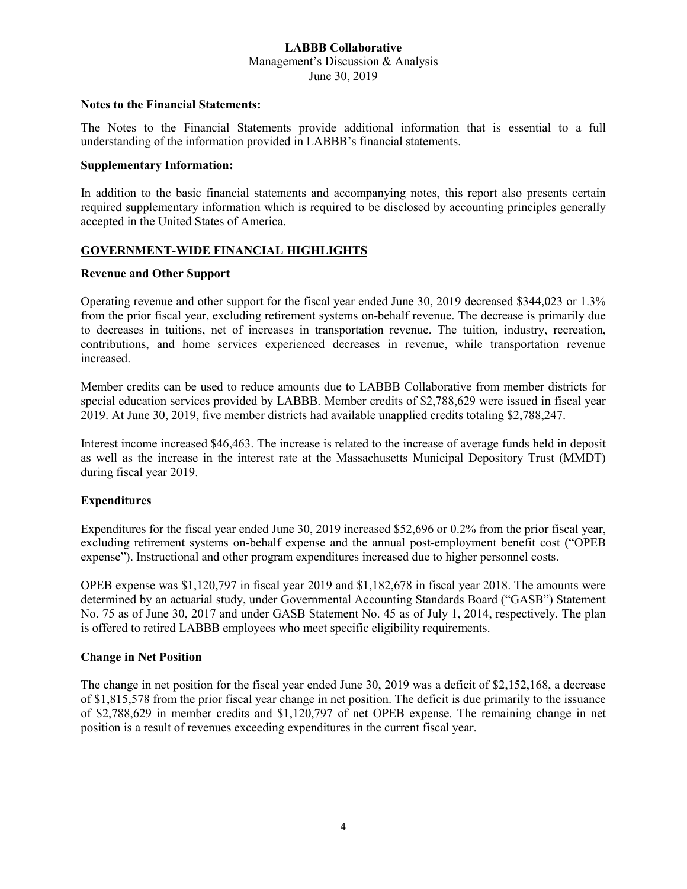### **LABBB Collaborative** Management's Discussion & Analysis June 30, 2019

#### **Notes to the Financial Statements:**

The Notes to the Financial Statements provide additional information that is essential to a full understanding of the information provided in LABBB's financial statements.

#### **Supplementary Information:**

In addition to the basic financial statements and accompanying notes, this report also presents certain required supplementary information which is required to be disclosed by accounting principles generally accepted in the United States of America.

## **GOVERNMENT-WIDE FINANCIAL HIGHLIGHTS**

#### **Revenue and Other Support**

Operating revenue and other support for the fiscal year ended June 30, 2019 decreased \$344,023 or 1.3% from the prior fiscal year, excluding retirement systems on-behalf revenue. The decrease is primarily due to decreases in tuitions, net of increases in transportation revenue. The tuition, industry, recreation, contributions, and home services experienced decreases in revenue, while transportation revenue increased.

Member credits can be used to reduce amounts due to LABBB Collaborative from member districts for special education services provided by LABBB. Member credits of \$2,788,629 were issued in fiscal year 2019. At June 30, 2019, five member districts had available unapplied credits totaling \$2,788,247.

Interest income increased \$46,463. The increase is related to the increase of average funds held in deposit as well as the increase in the interest rate at the Massachusetts Municipal Depository Trust (MMDT) during fiscal year 2019.

## **Expenditures**

Expenditures for the fiscal year ended June 30, 2019 increased \$52,696 or 0.2% from the prior fiscal year, excluding retirement systems on-behalf expense and the annual post-employment benefit cost ("OPEB expense"). Instructional and other program expenditures increased due to higher personnel costs.

OPEB expense was \$1,120,797 in fiscal year 2019 and \$1,182,678 in fiscal year 2018. The amounts were determined by an actuarial study, under Governmental Accounting Standards Board ("GASB") Statement No. 75 as of June 30, 2017 and under GASB Statement No. 45 as of July 1, 2014, respectively. The plan is offered to retired LABBB employees who meet specific eligibility requirements.

#### **Change in Net Position**

The change in net position for the fiscal year ended June 30, 2019 was a deficit of \$2,152,168, a decrease of \$1,815,578 from the prior fiscal year change in net position. The deficit is due primarily to the issuance of \$2,788,629 in member credits and \$1,120,797 of net OPEB expense. The remaining change in net position is a result of revenues exceeding expenditures in the current fiscal year.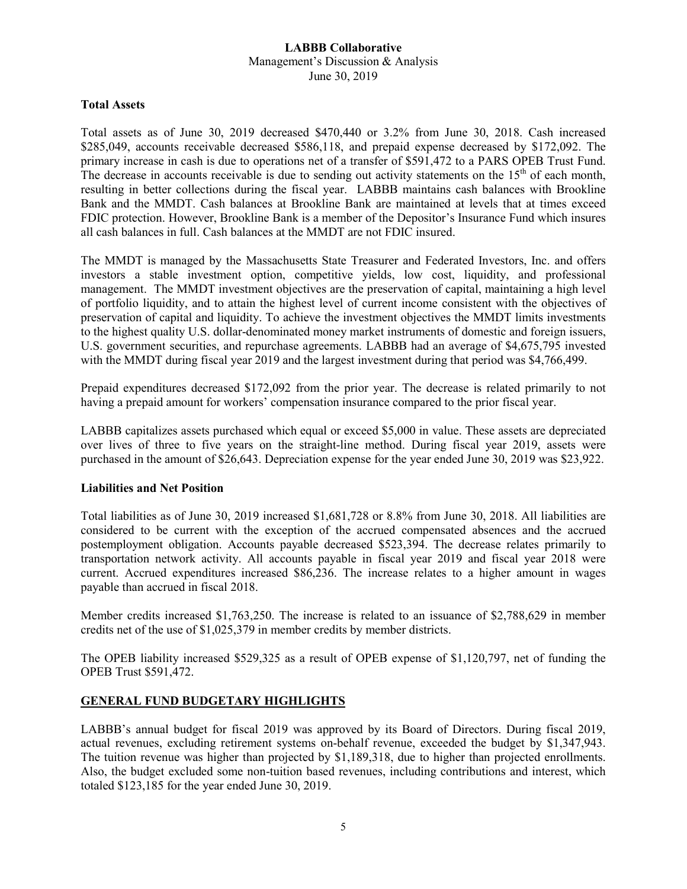## **LABBB Collaborative** Management's Discussion & Analysis June 30, 2019

## **Total Assets**

Total assets as of June 30, 2019 decreased \$470,440 or 3.2% from June 30, 2018. Cash increased \$285,049, accounts receivable decreased \$586,118, and prepaid expense decreased by \$172,092. The primary increase in cash is due to operations net of a transfer of \$591,472 to a PARS OPEB Trust Fund. The decrease in accounts receivable is due to sending out activity statements on the  $15<sup>th</sup>$  of each month, resulting in better collections during the fiscal year. LABBB maintains cash balances with Brookline Bank and the MMDT. Cash balances at Brookline Bank are maintained at levels that at times exceed FDIC protection. However, Brookline Bank is a member of the Depositor's Insurance Fund which insures all cash balances in full. Cash balances at the MMDT are not FDIC insured.

The MMDT is managed by the Massachusetts State Treasurer and Federated Investors, Inc. and offers investors a stable investment option, competitive yields, low cost, liquidity, and professional management. The MMDT investment objectives are the preservation of capital, maintaining a high level of portfolio liquidity, and to attain the highest level of current income consistent with the objectives of preservation of capital and liquidity. To achieve the investment objectives the MMDT limits investments to the highest quality U.S. dollar-denominated money market instruments of domestic and foreign issuers, U.S. government securities, and repurchase agreements. LABBB had an average of \$4,675,795 invested with the MMDT during fiscal year 2019 and the largest investment during that period was \$4,766,499.

Prepaid expenditures decreased \$172,092 from the prior year. The decrease is related primarily to not having a prepaid amount for workers' compensation insurance compared to the prior fiscal year.

LABBB capitalizes assets purchased which equal or exceed \$5,000 in value. These assets are depreciated over lives of three to five years on the straight-line method. During fiscal year 2019, assets were purchased in the amount of \$26,643. Depreciation expense for the year ended June 30, 2019 was \$23,922.

## **Liabilities and Net Position**

Total liabilities as of June 30, 2019 increased \$1,681,728 or 8.8% from June 30, 2018. All liabilities are considered to be current with the exception of the accrued compensated absences and the accrued postemployment obligation. Accounts payable decreased \$523,394. The decrease relates primarily to transportation network activity. All accounts payable in fiscal year 2019 and fiscal year 2018 were current. Accrued expenditures increased \$86,236. The increase relates to a higher amount in wages payable than accrued in fiscal 2018.

Member credits increased \$1,763,250. The increase is related to an issuance of \$2,788,629 in member credits net of the use of \$1,025,379 in member credits by member districts.

The OPEB liability increased \$529,325 as a result of OPEB expense of \$1,120,797, net of funding the OPEB Trust \$591,472.

## **GENERAL FUND BUDGETARY HIGHLIGHTS**

LABBB's annual budget for fiscal 2019 was approved by its Board of Directors. During fiscal 2019, actual revenues, excluding retirement systems on-behalf revenue, exceeded the budget by \$1,347,943. The tuition revenue was higher than projected by \$1,189,318, due to higher than projected enrollments. Also, the budget excluded some non-tuition based revenues, including contributions and interest, which totaled \$123,185 for the year ended June 30, 2019.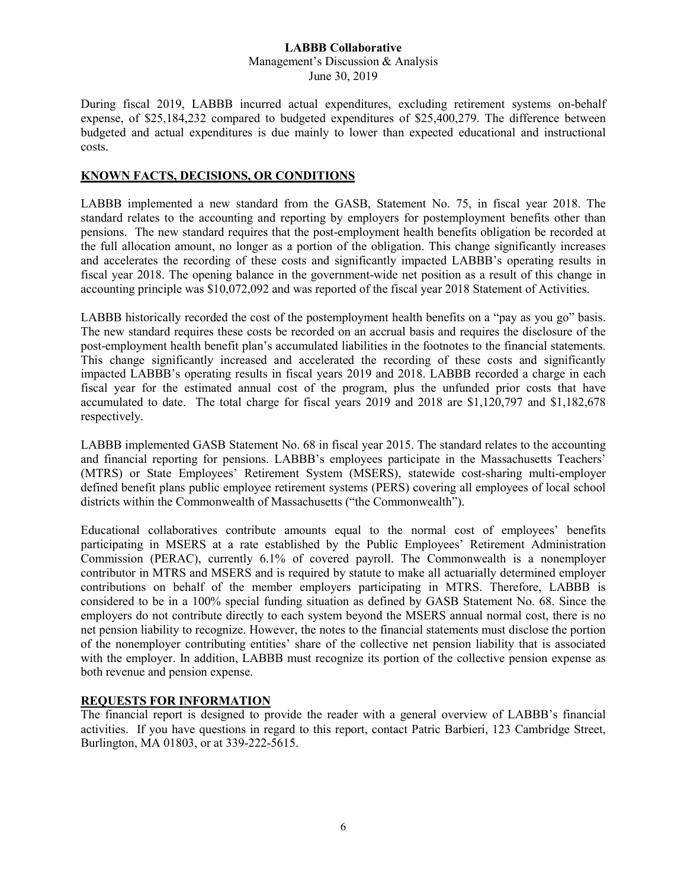Management's Discussion & Analysis June 30, 2019

During fiscal 2019, LABBB incurred actual expenditures, excluding retirement systems on-behalf expense, of \$25,184,232 compared to budgeted expenditures of \$25,400,279. The difference between budgeted and actual expenditures is due mainly to lower than expected educational and instructional costs.

## **KNOWN FACTS, DECISIONS, OR CONDITIONS**

LABBB implemented a new standard from the GASB, Statement No. 75, in fiscal year 2018. The standard relates to the accounting and reporting by employers for postemployment benefits other than pensions. The new standard requires that the post-employment health benefits obligation be recorded at the full allocation amount, no longer as a portion of the obligation. This change significantly increases and accelerates the recording of these costs and significantly impacted LABBB's operating results in fiscal year 2018. The opening balance in the government-wide net position as a result of this change in accounting principle was \$10,072,092 and was reported of the fiscal year 2018 Statement of Activities.

LABBB historically recorded the cost of the postemployment health benefits on a "pay as you go" basis. The new standard requires these costs be recorded on an accrual basis and requires the disclosure of the post-employment health benefit plan's accumulated liabilities in the footnotes to the financial statements. This change significantly increased and accelerated the recording of these costs and significantly impacted LABBB's operating results in fiscal years 2019 and 2018. LABBB recorded a charge in each fiscal year for the estimated annual cost of the program, plus the unfunded prior costs that have accumulated to date. The total charge for fiscal years 2019 and 2018 are \$1,120,797 and \$1,182,678 respectively.

LABBB implemented GASB Statement No. 68 in fiscal year 2015. The standard relates to the accounting and financial reporting for pensions. LABBB's employees participate in the Massachusetts Teachers' (MTRS) or State Employees' Retirement System (MSERS), statewide cost-sharing multi-employer defined benefit plans public employee retirement systems (PERS) covering all employees of local school districts within the Commonwealth of Massachusetts ("the Commonwealth").

Educational collaboratives contribute amounts equal to the normal cost of employees' benefits participating in MSERS at a rate established by the Public Employees' Retirement Administration Commission (PERAC), currently 6.1% of covered payroll. The Commonwealth is a nonemployer contributor in MTRS and MSERS and is required by statute to make all actuarially determined employer contributions on behalf of the member employers participating in MTRS. Therefore, LABBB is considered to be in a 100% special funding situation as defined by GASB Statement No. 68. Since the employers do not contribute directly to each system beyond the MSERS annual normal cost, there is no net pension liability to recognize. However, the notes to the financial statements must disclose the portion of the nonemployer contributing entities' share of the collective net pension liability that is associated with the employer. In addition, LABBB must recognize its portion of the collective pension expense as both revenue and pension expense.

## **REQUESTS FOR INFORMATION**

The financial report is designed to provide the reader with a general overview of LABBB's financial activities. If you have questions in regard to this report, contact Patric Barbieri, 123 Cambridge Street, Burlington, MA 01803, or at 339-222-5615.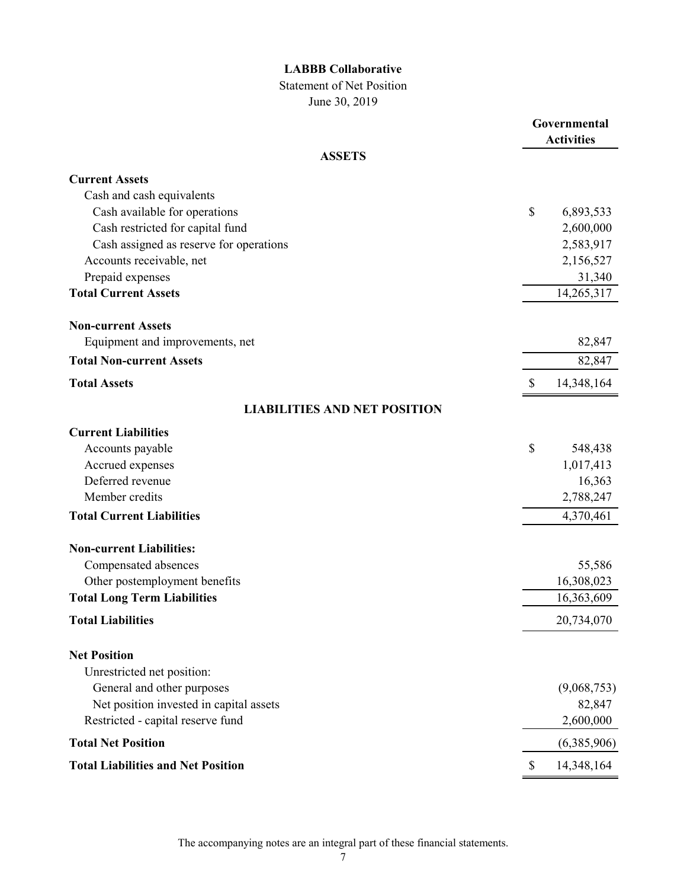## Statement of Net Position June 30, 2019

|                                           | Governmental<br><b>Activities</b> |             |  |
|-------------------------------------------|-----------------------------------|-------------|--|
| <b>ASSETS</b>                             |                                   |             |  |
| <b>Current Assets</b>                     |                                   |             |  |
| Cash and cash equivalents                 |                                   |             |  |
| Cash available for operations             | \$                                | 6,893,533   |  |
| Cash restricted for capital fund          |                                   | 2,600,000   |  |
| Cash assigned as reserve for operations   |                                   | 2,583,917   |  |
| Accounts receivable, net                  |                                   | 2,156,527   |  |
| Prepaid expenses                          |                                   | 31,340      |  |
| <b>Total Current Assets</b>               |                                   | 14,265,317  |  |
| <b>Non-current Assets</b>                 |                                   |             |  |
| Equipment and improvements, net           |                                   | 82,847      |  |
| <b>Total Non-current Assets</b>           |                                   | 82,847      |  |
| <b>Total Assets</b>                       | \$                                | 14,348,164  |  |
| <b>LIABILITIES AND NET POSITION</b>       |                                   |             |  |
| <b>Current Liabilities</b>                |                                   |             |  |
| Accounts payable                          | \$                                | 548,438     |  |
| Accrued expenses                          |                                   | 1,017,413   |  |
| Deferred revenue                          |                                   | 16,363      |  |
| Member credits                            |                                   | 2,788,247   |  |
| <b>Total Current Liabilities</b>          |                                   | 4,370,461   |  |
| <b>Non-current Liabilities:</b>           |                                   |             |  |
| Compensated absences                      |                                   | 55,586      |  |
| Other postemployment benefits             |                                   | 16,308,023  |  |
| <b>Total Long Term Liabilities</b>        |                                   | 16,363,609  |  |
| <b>Total Liabilities</b>                  |                                   | 20,734,070  |  |
| <b>Net Position</b>                       |                                   |             |  |
| Unrestricted net position:                |                                   |             |  |
| General and other purposes                |                                   | (9,068,753) |  |
| Net position invested in capital assets   |                                   | 82,847      |  |
| Restricted - capital reserve fund         |                                   | 2,600,000   |  |
| <b>Total Net Position</b>                 |                                   | (6,385,906) |  |
| <b>Total Liabilities and Net Position</b> | \$                                | 14,348,164  |  |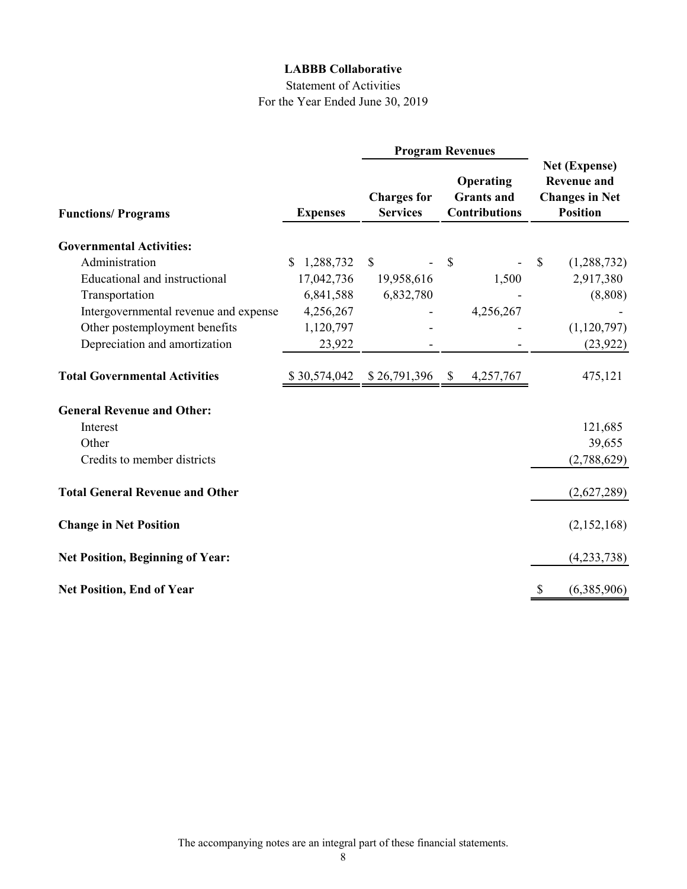## Statement of Activities For the Year Ended June 30, 2019

|                                         |                 | <b>Program Revenues</b>               |                                                        |                                                                                 |
|-----------------------------------------|-----------------|---------------------------------------|--------------------------------------------------------|---------------------------------------------------------------------------------|
| <b>Functions/Programs</b>               | <b>Expenses</b> | <b>Charges for</b><br><b>Services</b> | Operating<br><b>Grants</b> and<br><b>Contributions</b> | Net (Expense)<br><b>Revenue and</b><br><b>Changes in Net</b><br><b>Position</b> |
| <b>Governmental Activities:</b>         |                 |                                       |                                                        |                                                                                 |
| Administration                          | 1,288,732<br>S  | <sup>\$</sup>                         | \$                                                     | \$<br>(1,288,732)                                                               |
| Educational and instructional           | 17,042,736      | 19,958,616                            | 1,500                                                  | 2,917,380                                                                       |
| Transportation                          | 6,841,588       | 6,832,780                             |                                                        | (8,808)                                                                         |
| Intergovernmental revenue and expense   | 4,256,267       |                                       | 4,256,267                                              |                                                                                 |
| Other postemployment benefits           | 1,120,797       |                                       |                                                        | (1,120,797)                                                                     |
| Depreciation and amortization           | 23,922          |                                       |                                                        | (23, 922)                                                                       |
| <b>Total Governmental Activities</b>    | \$30,574,042    | \$26,791,396                          | 4,257,767<br>\$                                        | 475,121                                                                         |
| <b>General Revenue and Other:</b>       |                 |                                       |                                                        |                                                                                 |
| Interest                                |                 |                                       |                                                        | 121,685                                                                         |
| Other                                   |                 |                                       |                                                        | 39,655                                                                          |
| Credits to member districts             |                 |                                       |                                                        | (2,788,629)                                                                     |
| <b>Total General Revenue and Other</b>  |                 |                                       |                                                        | (2,627,289)                                                                     |
| <b>Change in Net Position</b>           |                 |                                       |                                                        | (2,152,168)                                                                     |
| <b>Net Position, Beginning of Year:</b> |                 |                                       |                                                        | (4,233,738)                                                                     |
| <b>Net Position, End of Year</b>        |                 |                                       |                                                        | (6,385,906)                                                                     |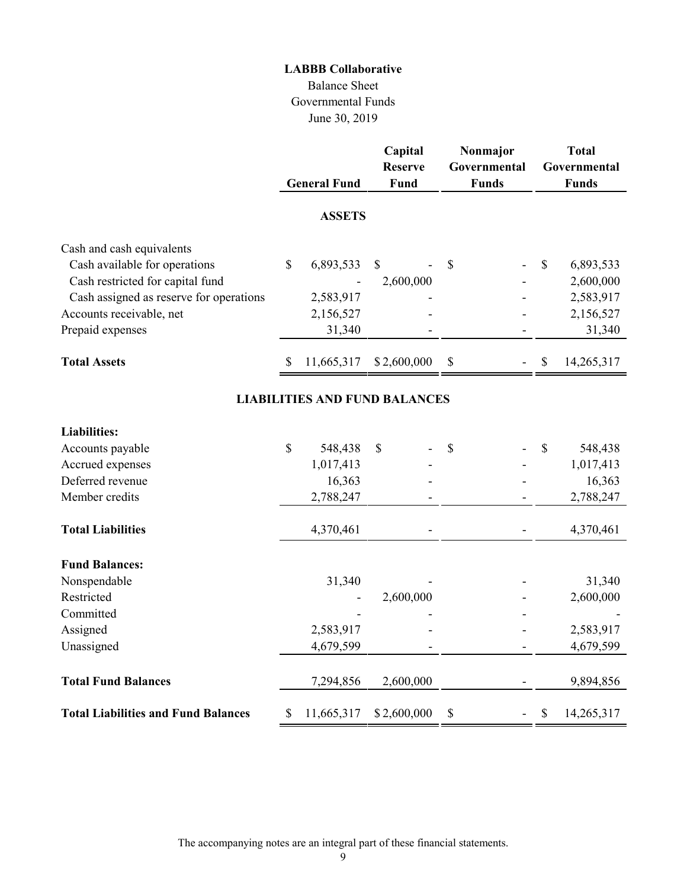## Balance Sheet Governmental Funds June 30, 2019

|                                            | <b>General Fund</b> | Capital<br><b>Reserve</b><br>Fund    |              | Nonmajor<br>Governmental<br><b>Funds</b> | <b>Total</b><br>Governmental<br><b>Funds</b> |
|--------------------------------------------|---------------------|--------------------------------------|--------------|------------------------------------------|----------------------------------------------|
|                                            | <b>ASSETS</b>       |                                      |              |                                          |                                              |
| Cash and cash equivalents                  |                     |                                      |              |                                          |                                              |
| Cash available for operations              | \$<br>6,893,533     | \$                                   | \$           |                                          | \$<br>6,893,533                              |
| Cash restricted for capital fund           |                     | 2,600,000                            |              |                                          | 2,600,000                                    |
| Cash assigned as reserve for operations    | 2,583,917           |                                      |              |                                          | 2,583,917                                    |
| Accounts receivable, net                   | 2,156,527           |                                      |              |                                          | 2,156,527                                    |
| Prepaid expenses                           | 31,340              |                                      |              |                                          | 31,340                                       |
| <b>Total Assets</b>                        | \$<br>11,665,317    | \$2,600,000                          | \$           |                                          | \$<br>14,265,317                             |
|                                            |                     | <b>LIABILITIES AND FUND BALANCES</b> |              |                                          |                                              |
| <b>Liabilities:</b>                        |                     |                                      |              |                                          |                                              |
| Accounts payable                           | \$<br>548,438       | \$                                   | $\mathbb{S}$ |                                          | \$<br>548,438                                |
| Accrued expenses                           | 1,017,413           |                                      |              |                                          | 1,017,413                                    |
| Deferred revenue                           | 16,363              |                                      |              |                                          | 16,363                                       |
| Member credits                             | 2,788,247           |                                      |              |                                          | 2,788,247                                    |
| <b>Total Liabilities</b>                   | 4,370,461           |                                      |              |                                          | 4,370,461                                    |
| <b>Fund Balances:</b>                      |                     |                                      |              |                                          |                                              |
| Nonspendable                               | 31,340              |                                      |              |                                          | 31,340                                       |
| Restricted                                 |                     | 2,600,000                            |              |                                          | 2,600,000                                    |
| Committed                                  |                     |                                      |              |                                          |                                              |
| Assigned                                   | 2,583,917           |                                      |              |                                          | 2,583,917                                    |
| Unassigned                                 | 4,679,599           |                                      |              |                                          | 4,679,599                                    |
| <b>Total Fund Balances</b>                 | 7,294,856           | 2,600,000                            |              |                                          | 9,894,856                                    |
| <b>Total Liabilities and Fund Balances</b> | \$<br>11,665,317    | \$2,600,000                          | \$           |                                          | \$<br>14,265,317                             |

The accompanying notes are an integral part of these financial statements.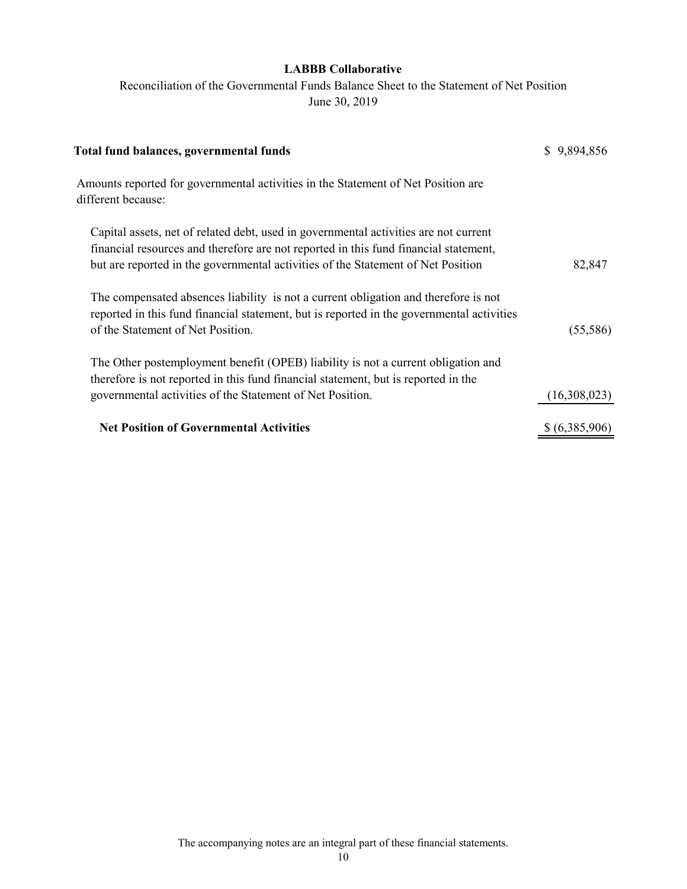Reconciliation of the Governmental Funds Balance Sheet to the Statement of Net Position June 30, 2019

| Total fund balances, governmental funds                                                                                                                                                                                                                          | \$9,894,856    |
|------------------------------------------------------------------------------------------------------------------------------------------------------------------------------------------------------------------------------------------------------------------|----------------|
| Amounts reported for governmental activities in the Statement of Net Position are<br>different because:                                                                                                                                                          |                |
| Capital assets, net of related debt, used in governmental activities are not current<br>financial resources and therefore are not reported in this fund financial statement,<br>but are reported in the governmental activities of the Statement of Net Position | 82,847         |
| The compensated absences liability is not a current obligation and therefore is not<br>reported in this fund financial statement, but is reported in the governmental activities<br>of the Statement of Net Position.                                            | (55, 586)      |
| The Other postemployment benefit (OPEB) liability is not a current obligation and<br>therefore is not reported in this fund financial statement, but is reported in the<br>governmental activities of the Statement of Net Position.                             | (16,308,023)   |
| <b>Net Position of Governmental Activities</b>                                                                                                                                                                                                                   | \$ (6,385,906) |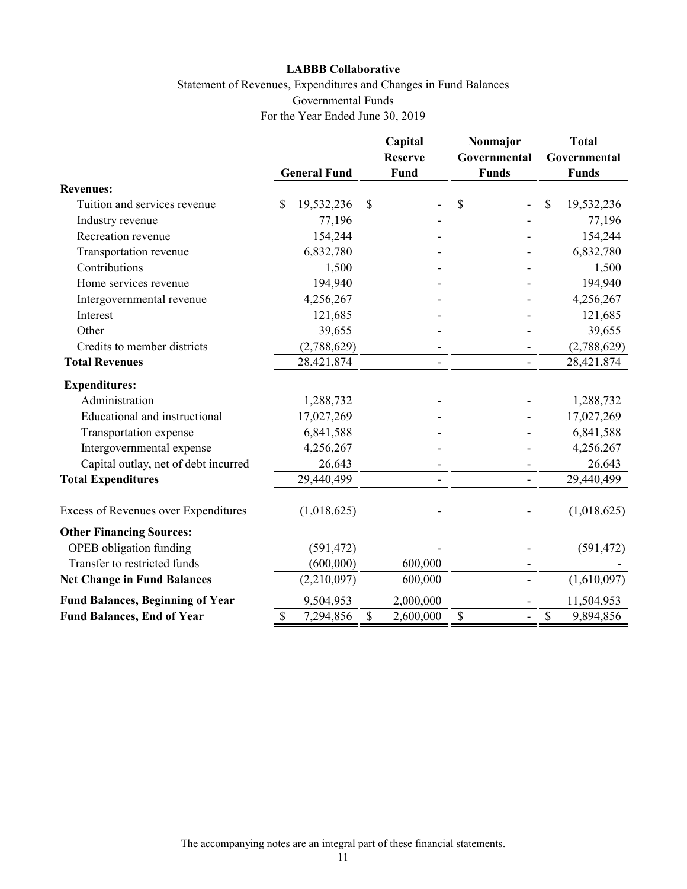## Statement of Revenues, Expenditures and Changes in Fund Balances Governmental Funds For the Year Ended June 30, 2019

|                                             |                     |              | Capital<br><b>Reserve</b> | Nonmajor<br>Governmental |                                                                       | <b>Total</b><br>Governmental |
|---------------------------------------------|---------------------|--------------|---------------------------|--------------------------|-----------------------------------------------------------------------|------------------------------|
|                                             | <b>General Fund</b> |              | <b>Fund</b>               | <b>Funds</b>             |                                                                       | <b>Funds</b>                 |
| <b>Revenues:</b>                            |                     |              |                           |                          |                                                                       |                              |
| Tuition and services revenue                | \$<br>19,532,236    | $\mathbb{S}$ |                           | \$                       | \$                                                                    | 19,532,236                   |
| Industry revenue                            | 77,196              |              |                           |                          |                                                                       | 77,196                       |
| Recreation revenue                          | 154,244             |              |                           |                          |                                                                       | 154,244                      |
| Transportation revenue                      | 6,832,780           |              |                           |                          |                                                                       | 6,832,780                    |
| Contributions                               | 1,500               |              |                           |                          |                                                                       | 1,500                        |
| Home services revenue                       | 194,940             |              |                           |                          |                                                                       | 194,940                      |
| Intergovernmental revenue                   | 4,256,267           |              |                           |                          |                                                                       | 4,256,267                    |
| Interest                                    | 121,685             |              |                           |                          |                                                                       | 121,685                      |
| Other                                       | 39,655              |              |                           |                          |                                                                       | 39,655                       |
| Credits to member districts                 | (2,788,629)         |              |                           |                          |                                                                       | (2,788,629)                  |
| <b>Total Revenues</b>                       | 28,421,874          |              | $\overline{\phantom{a}}$  | $\mathbf{r}$             |                                                                       | 28,421,874                   |
| <b>Expenditures:</b>                        |                     |              |                           |                          |                                                                       |                              |
| Administration                              | 1,288,732           |              |                           |                          |                                                                       | 1,288,732                    |
| Educational and instructional               | 17,027,269          |              |                           |                          |                                                                       | 17,027,269                   |
| Transportation expense                      | 6,841,588           |              |                           |                          |                                                                       | 6,841,588                    |
| Intergovernmental expense                   | 4,256,267           |              |                           |                          |                                                                       | 4,256,267                    |
| Capital outlay, net of debt incurred        | 26,643              |              |                           |                          |                                                                       | 26,643                       |
| <b>Total Expenditures</b>                   | 29,440,499          |              |                           |                          |                                                                       | 29,440,499                   |
| <b>Excess of Revenues over Expenditures</b> | (1,018,625)         |              |                           |                          |                                                                       | (1,018,625)                  |
| <b>Other Financing Sources:</b>             |                     |              |                           |                          |                                                                       |                              |
| OPEB obligation funding                     | (591, 472)          |              |                           |                          |                                                                       | (591, 472)                   |
| Transfer to restricted funds                | (600, 000)          |              | 600,000                   |                          |                                                                       |                              |
| <b>Net Change in Fund Balances</b>          | (2,210,097)         |              | 600,000                   |                          |                                                                       | (1,610,097)                  |
| <b>Fund Balances, Beginning of Year</b>     | 9,504,953           |              | 2,000,000                 |                          |                                                                       | 11,504,953                   |
| <b>Fund Balances, End of Year</b>           | \$<br>7,294,856     | $\$$         | 2,600,000                 | $\mathbb{S}$             | $\mathbb{S}% _{t}\left( t\right) \equiv\mathbb{S}_{t}\left( t\right)$ | 9,894,856                    |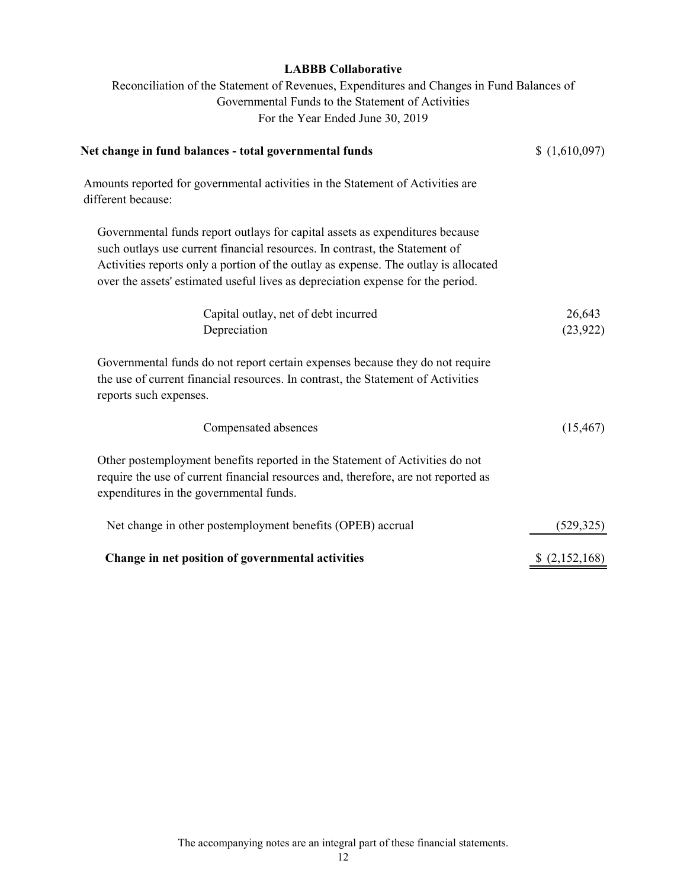Reconciliation of the Statement of Revenues, Expenditures and Changes in Fund Balances of Governmental Funds to the Statement of Activities For the Year Ended June 30, 2019

| Net change in fund balances - total governmental funds                                                                                                                                                                                                                                                                                | (1,610,097)         |
|---------------------------------------------------------------------------------------------------------------------------------------------------------------------------------------------------------------------------------------------------------------------------------------------------------------------------------------|---------------------|
| Amounts reported for governmental activities in the Statement of Activities are<br>different because:                                                                                                                                                                                                                                 |                     |
| Governmental funds report outlays for capital assets as expenditures because<br>such outlays use current financial resources. In contrast, the Statement of<br>Activities reports only a portion of the outlay as expense. The outlay is allocated<br>over the assets' estimated useful lives as depreciation expense for the period. |                     |
| Capital outlay, net of debt incurred<br>Depreciation                                                                                                                                                                                                                                                                                  | 26,643<br>(23, 922) |
| Governmental funds do not report certain expenses because they do not require<br>the use of current financial resources. In contrast, the Statement of Activities<br>reports such expenses.                                                                                                                                           |                     |
| Compensated absences                                                                                                                                                                                                                                                                                                                  | (15, 467)           |
| Other postemployment benefits reported in the Statement of Activities do not<br>require the use of current financial resources and, therefore, are not reported as<br>expenditures in the governmental funds.                                                                                                                         |                     |
| Net change in other postemployment benefits (OPEB) accrual                                                                                                                                                                                                                                                                            | (529, 325)          |
| Change in net position of governmental activities                                                                                                                                                                                                                                                                                     | (2,152,168)         |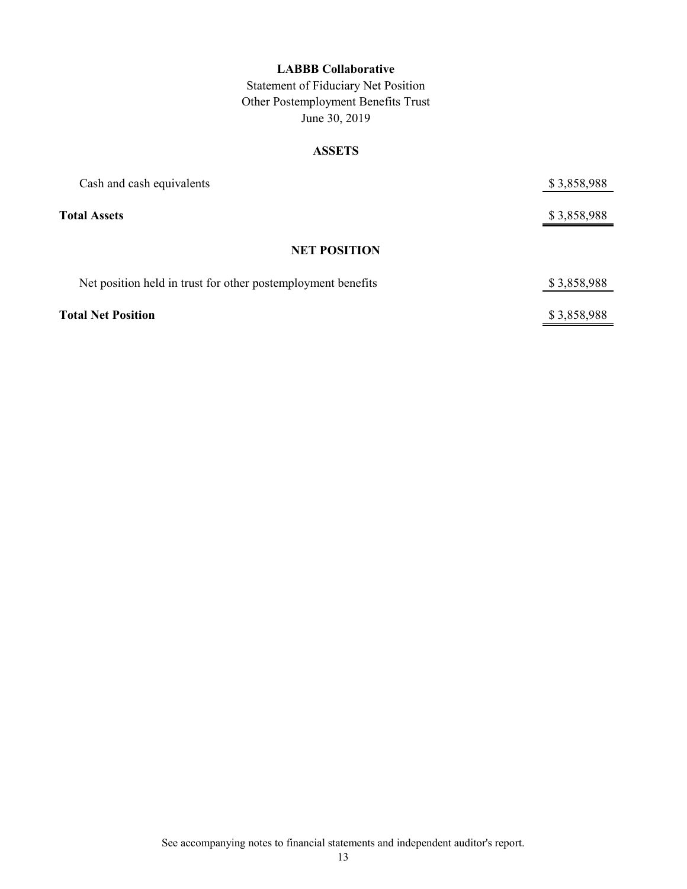Statement of Fiduciary Net Position Other Postemployment Benefits Trust June 30, 2019

## **ASSETS**

| Cash and cash equivalents                                    | \$3,858,988 |
|--------------------------------------------------------------|-------------|
| <b>Total Assets</b>                                          | \$3,858,988 |
| <b>NET POSITION</b>                                          |             |
| Net position held in trust for other postemployment benefits | \$3,858,988 |
| <b>Total Net Position</b>                                    | \$3,858,988 |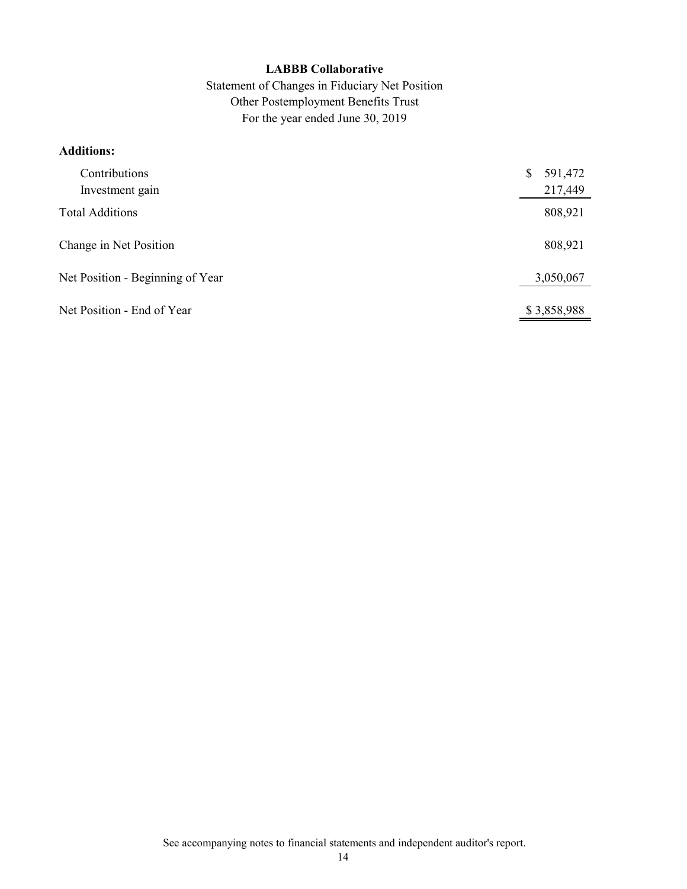Statement of Changes in Fiduciary Net Position Other Postemployment Benefits Trust For the year ended June 30, 2019

## **Additions:**

| Contributions<br>Investment gain | 591,472<br>\$<br>217,449 |
|----------------------------------|--------------------------|
| <b>Total Additions</b>           | 808,921                  |
| Change in Net Position           | 808,921                  |
| Net Position - Beginning of Year | 3,050,067                |
| Net Position - End of Year       | \$3,858,988              |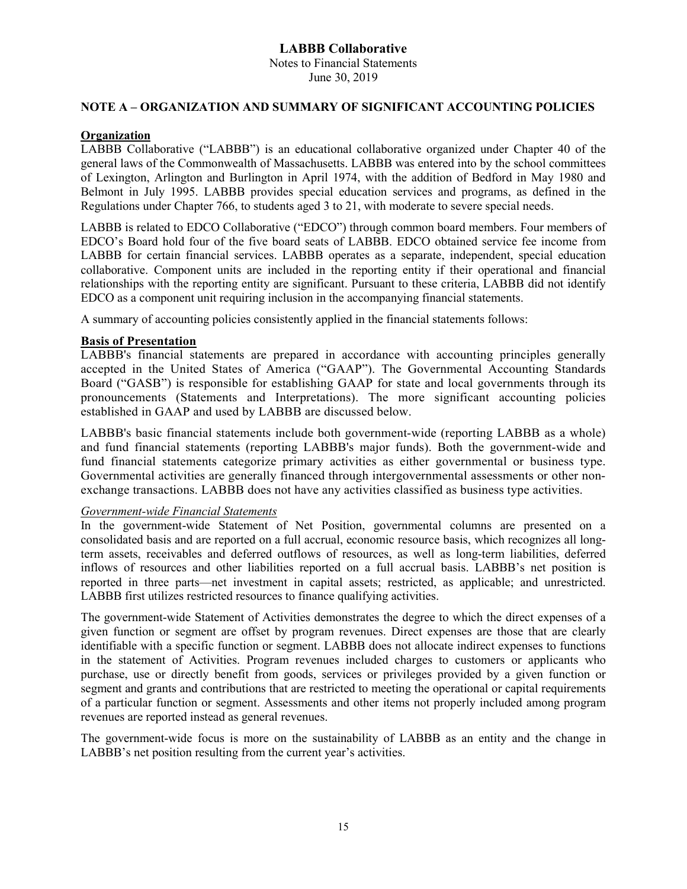## June 30, 2019

## **NOTE A – ORGANIZATION AND SUMMARY OF SIGNIFICANT ACCOUNTING POLICIES**

### **Organization**

LABBB Collaborative ("LABBB") is an educational collaborative organized under Chapter 40 of the general laws of the Commonwealth of Massachusetts. LABBB was entered into by the school committees of Lexington, Arlington and Burlington in April 1974, with the addition of Bedford in May 1980 and Belmont in July 1995. LABBB provides special education services and programs, as defined in the Regulations under Chapter 766, to students aged 3 to 21, with moderate to severe special needs.

LABBB is related to EDCO Collaborative ("EDCO") through common board members. Four members of EDCO's Board hold four of the five board seats of LABBB. EDCO obtained service fee income from LABBB for certain financial services. LABBB operates as a separate, independent, special education collaborative. Component units are included in the reporting entity if their operational and financial relationships with the reporting entity are significant. Pursuant to these criteria, LABBB did not identify EDCO as a component unit requiring inclusion in the accompanying financial statements.

A summary of accounting policies consistently applied in the financial statements follows:

### **Basis of Presentation**

LABBB's financial statements are prepared in accordance with accounting principles generally accepted in the United States of America ("GAAP"). The Governmental Accounting Standards Board ("GASB") is responsible for establishing GAAP for state and local governments through its pronouncements (Statements and Interpretations). The more significant accounting policies established in GAAP and used by LABBB are discussed below.

LABBB's basic financial statements include both government-wide (reporting LABBB as a whole) and fund financial statements (reporting LABBB's major funds). Both the government-wide and fund financial statements categorize primary activities as either governmental or business type. Governmental activities are generally financed through intergovernmental assessments or other nonexchange transactions. LABBB does not have any activities classified as business type activities.

## *Government-wide Financial Statements*

In the government-wide Statement of Net Position, governmental columns are presented on a consolidated basis and are reported on a full accrual, economic resource basis, which recognizes all longterm assets, receivables and deferred outflows of resources, as well as long-term liabilities, deferred inflows of resources and other liabilities reported on a full accrual basis. LABBB's net position is reported in three parts—net investment in capital assets; restricted, as applicable; and unrestricted. LABBB first utilizes restricted resources to finance qualifying activities.

The government-wide Statement of Activities demonstrates the degree to which the direct expenses of a given function or segment are offset by program revenues. Direct expenses are those that are clearly identifiable with a specific function or segment. LABBB does not allocate indirect expenses to functions in the statement of Activities. Program revenues included charges to customers or applicants who purchase, use or directly benefit from goods, services or privileges provided by a given function or segment and grants and contributions that are restricted to meeting the operational or capital requirements of a particular function or segment. Assessments and other items not properly included among program revenues are reported instead as general revenues.

The government-wide focus is more on the sustainability of LABBB as an entity and the change in LABBB's net position resulting from the current year's activities.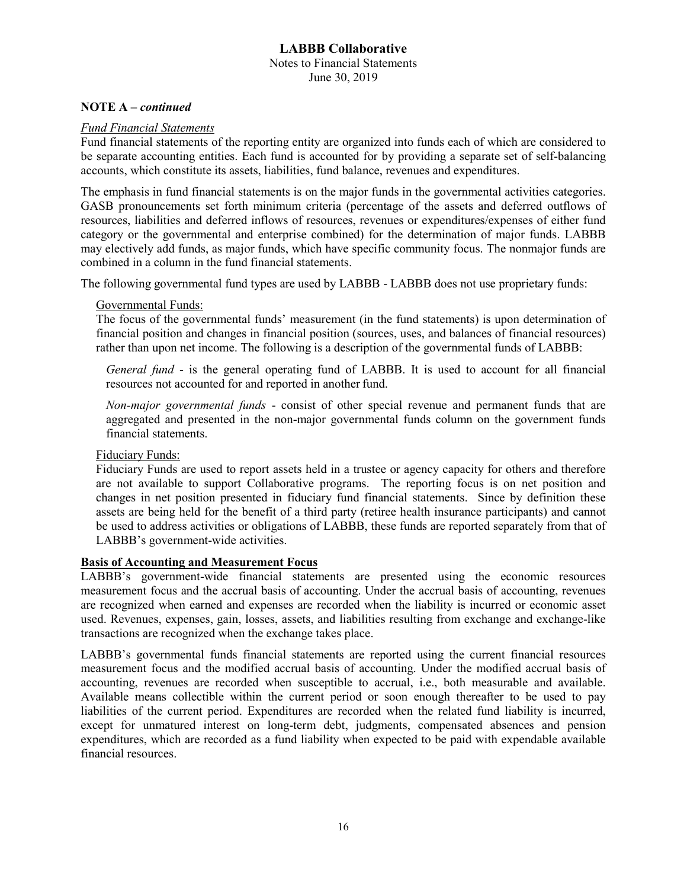## **NOTE A –** *continued*

#### *Fund Financial Statements*

Fund financial statements of the reporting entity are organized into funds each of which are considered to be separate accounting entities. Each fund is accounted for by providing a separate set of self-balancing accounts, which constitute its assets, liabilities, fund balance, revenues and expenditures.

The emphasis in fund financial statements is on the major funds in the governmental activities categories. GASB pronouncements set forth minimum criteria (percentage of the assets and deferred outflows of resources, liabilities and deferred inflows of resources, revenues or expenditures/expenses of either fund category or the governmental and enterprise combined) for the determination of major funds. LABBB may electively add funds, as major funds, which have specific community focus. The nonmajor funds are combined in a column in the fund financial statements.

The following governmental fund types are used by LABBB - LABBB does not use proprietary funds:

#### Governmental Funds:

The focus of the governmental funds' measurement (in the fund statements) is upon determination of financial position and changes in financial position (sources, uses, and balances of financial resources) rather than upon net income. The following is a description of the governmental funds of LABBB:

*General fund* - is the general operating fund of LABBB. It is used to account for all financial resources not accounted for and reported in another fund.

*Non-major governmental funds* - consist of other special revenue and permanent funds that are aggregated and presented in the non-major governmental funds column on the government funds financial statements.

#### Fiduciary Funds:

Fiduciary Funds are used to report assets held in a trustee or agency capacity for others and therefore are not available to support Collaborative programs. The reporting focus is on net position and changes in net position presented in fiduciary fund financial statements. Since by definition these assets are being held for the benefit of a third party (retiree health insurance participants) and cannot be used to address activities or obligations of LABBB, these funds are reported separately from that of LABBB's government-wide activities.

## **Basis of Accounting and Measurement Focus**

LABBB's government-wide financial statements are presented using the economic resources measurement focus and the accrual basis of accounting. Under the accrual basis of accounting, revenues are recognized when earned and expenses are recorded when the liability is incurred or economic asset used. Revenues, expenses, gain, losses, assets, and liabilities resulting from exchange and exchange-like transactions are recognized when the exchange takes place.

LABBB's governmental funds financial statements are reported using the current financial resources measurement focus and the modified accrual basis of accounting. Under the modified accrual basis of accounting, revenues are recorded when susceptible to accrual, i.e., both measurable and available. Available means collectible within the current period or soon enough thereafter to be used to pay liabilities of the current period. Expenditures are recorded when the related fund liability is incurred, except for unmatured interest on long-term debt, judgments, compensated absences and pension expenditures, which are recorded as a fund liability when expected to be paid with expendable available financial resources.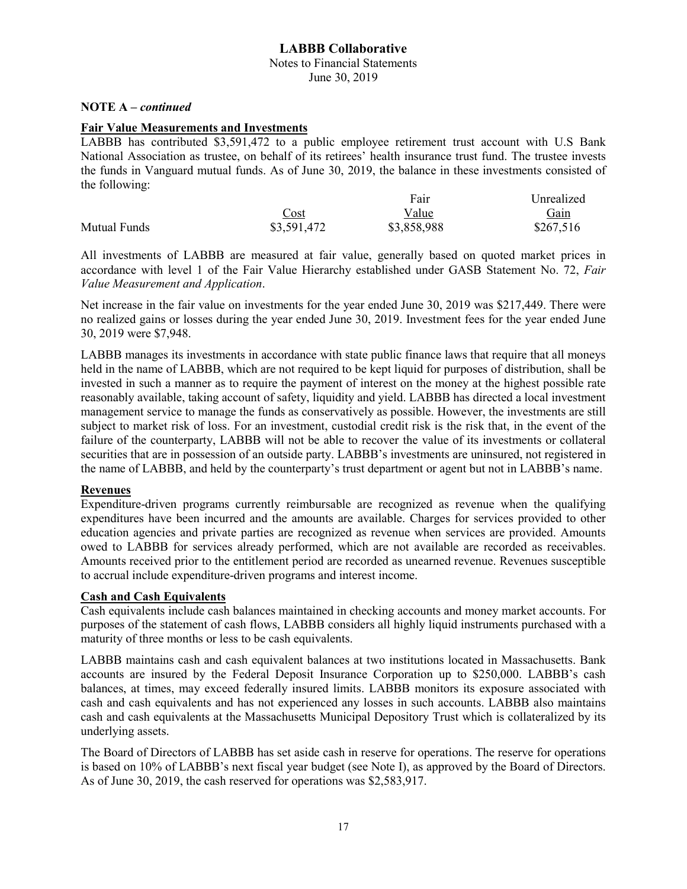Notes to Financial Statements June 30, 2019

## **NOTE A –** *continued*

#### **Fair Value Measurements and Investments**

LABBB has contributed \$3,591,472 to a public employee retirement trust account with U.S Bank National Association as trustee, on behalf of its retirees' health insurance trust fund. The trustee invests the funds in Vanguard mutual funds. As of June 30, 2019, the balance in these investments consisted of the following:

|                     |             | Fair        | Unrealized  |
|---------------------|-------------|-------------|-------------|
|                     | <u>Cost</u> | Value       | <u>Gain</u> |
| <b>Mutual Funds</b> | \$3,591,472 | \$3,858,988 | \$267,516   |

All investments of LABBB are measured at fair value, generally based on quoted market prices in accordance with level 1 of the Fair Value Hierarchy established under GASB Statement No. 72, *Fair Value Measurement and Application*.

Net increase in the fair value on investments for the year ended June 30, 2019 was \$217,449. There were no realized gains or losses during the year ended June 30, 2019. Investment fees for the year ended June 30, 2019 were \$7,948.

LABBB manages its investments in accordance with state public finance laws that require that all moneys held in the name of LABBB, which are not required to be kept liquid for purposes of distribution, shall be invested in such a manner as to require the payment of interest on the money at the highest possible rate reasonably available, taking account of safety, liquidity and yield. LABBB has directed a local investment management service to manage the funds as conservatively as possible. However, the investments are still subject to market risk of loss. For an investment, custodial credit risk is the risk that, in the event of the failure of the counterparty, LABBB will not be able to recover the value of its investments or collateral securities that are in possession of an outside party. LABBB's investments are uninsured, not registered in the name of LABBB, and held by the counterparty's trust department or agent but not in LABBB's name.

## **Revenues**

Expenditure-driven programs currently reimbursable are recognized as revenue when the qualifying expenditures have been incurred and the amounts are available. Charges for services provided to other education agencies and private parties are recognized as revenue when services are provided. Amounts owed to LABBB for services already performed, which are not available are recorded as receivables. Amounts received prior to the entitlement period are recorded as unearned revenue. Revenues susceptible to accrual include expenditure-driven programs and interest income.

## **Cash and Cash Equivalents**

Cash equivalents include cash balances maintained in checking accounts and money market accounts. For purposes of the statement of cash flows, LABBB considers all highly liquid instruments purchased with a maturity of three months or less to be cash equivalents.

LABBB maintains cash and cash equivalent balances at two institutions located in Massachusetts. Bank accounts are insured by the Federal Deposit Insurance Corporation up to \$250,000. LABBB's cash balances, at times, may exceed federally insured limits. LABBB monitors its exposure associated with cash and cash equivalents and has not experienced any losses in such accounts. LABBB also maintains cash and cash equivalents at the Massachusetts Municipal Depository Trust which is collateralized by its underlying assets.

The Board of Directors of LABBB has set aside cash in reserve for operations. The reserve for operations is based on 10% of LABBB's next fiscal year budget (see Note I), as approved by the Board of Directors. As of June 30, 2019, the cash reserved for operations was \$2,583,917.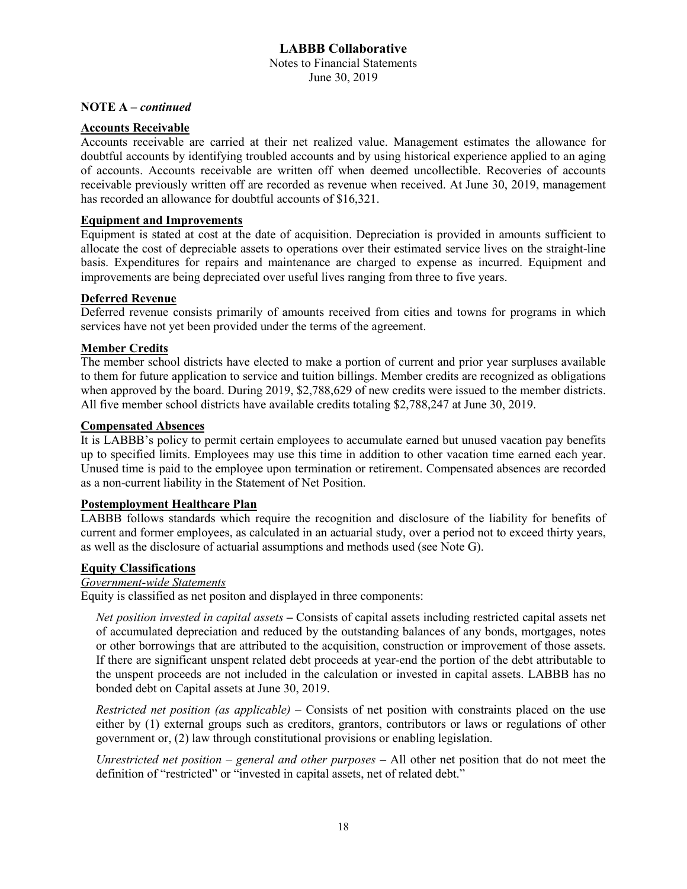#### **NOTE A –** *continued*

#### **Accounts Receivable**

Accounts receivable are carried at their net realized value. Management estimates the allowance for doubtful accounts by identifying troubled accounts and by using historical experience applied to an aging of accounts. Accounts receivable are written off when deemed uncollectible. Recoveries of accounts receivable previously written off are recorded as revenue when received. At June 30, 2019, management has recorded an allowance for doubtful accounts of \$16,321.

#### **Equipment and Improvements**

Equipment is stated at cost at the date of acquisition. Depreciation is provided in amounts sufficient to allocate the cost of depreciable assets to operations over their estimated service lives on the straight-line basis. Expenditures for repairs and maintenance are charged to expense as incurred. Equipment and improvements are being depreciated over useful lives ranging from three to five years.

#### **Deferred Revenue**

Deferred revenue consists primarily of amounts received from cities and towns for programs in which services have not yet been provided under the terms of the agreement.

## **Member Credits**

The member school districts have elected to make a portion of current and prior year surpluses available to them for future application to service and tuition billings. Member credits are recognized as obligations when approved by the board. During 2019, \$2,788,629 of new credits were issued to the member districts. All five member school districts have available credits totaling \$2,788,247 at June 30, 2019.

#### **Compensated Absences**

It is LABBB's policy to permit certain employees to accumulate earned but unused vacation pay benefits up to specified limits. Employees may use this time in addition to other vacation time earned each year. Unused time is paid to the employee upon termination or retirement. Compensated absences are recorded as a non-current liability in the Statement of Net Position.

#### **Postemployment Healthcare Plan**

LABBB follows standards which require the recognition and disclosure of the liability for benefits of current and former employees, as calculated in an actuarial study, over a period not to exceed thirty years, as well as the disclosure of actuarial assumptions and methods used (see Note G).

#### **Equity Classifications**

### *Government-wide Statements*

Equity is classified as net positon and displayed in three components:

*Net position invested in capital assets* **–** Consists of capital assets including restricted capital assets net of accumulated depreciation and reduced by the outstanding balances of any bonds, mortgages, notes or other borrowings that are attributed to the acquisition, construction or improvement of those assets. If there are significant unspent related debt proceeds at year-end the portion of the debt attributable to the unspent proceeds are not included in the calculation or invested in capital assets. LABBB has no bonded debt on Capital assets at June 30, 2019.

*Restricted net position (as applicable)* **–** Consists of net position with constraints placed on the use either by (1) external groups such as creditors, grantors, contributors or laws or regulations of other government or, (2) law through constitutional provisions or enabling legislation.

*Unrestricted net position – general and other purposes* **–** All other net position that do not meet the definition of "restricted" or "invested in capital assets, net of related debt."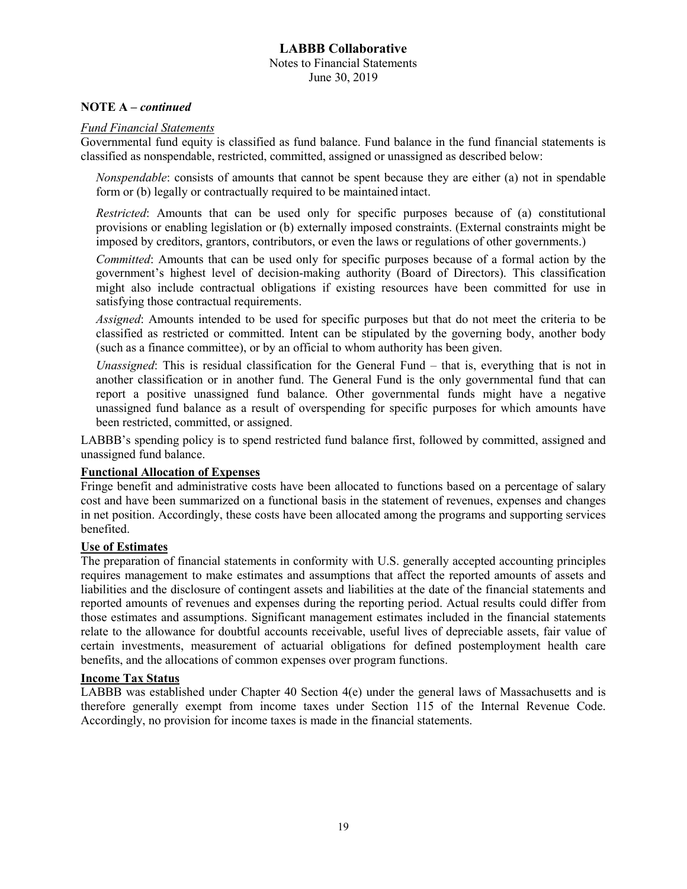## **NOTE A –** *continued*

#### *Fund Financial Statements*

Governmental fund equity is classified as fund balance. Fund balance in the fund financial statements is classified as nonspendable, restricted, committed, assigned or unassigned as described below:

*Nonspendable*: consists of amounts that cannot be spent because they are either (a) not in spendable form or (b) legally or contractually required to be maintained intact.

*Restricted*: Amounts that can be used only for specific purposes because of (a) constitutional provisions or enabling legislation or (b) externally imposed constraints. (External constraints might be imposed by creditors, grantors, contributors, or even the laws or regulations of other governments.)

*Committed*: Amounts that can be used only for specific purposes because of a formal action by the government's highest level of decision-making authority (Board of Directors). This classification might also include contractual obligations if existing resources have been committed for use in satisfying those contractual requirements.

*Assigned*: Amounts intended to be used for specific purposes but that do not meet the criteria to be classified as restricted or committed. Intent can be stipulated by the governing body, another body (such as a finance committee), or by an official to whom authority has been given.

*Unassigned*: This is residual classification for the General Fund – that is, everything that is not in another classification or in another fund. The General Fund is the only governmental fund that can report a positive unassigned fund balance. Other governmental funds might have a negative unassigned fund balance as a result of overspending for specific purposes for which amounts have been restricted, committed, or assigned.

LABBB's spending policy is to spend restricted fund balance first, followed by committed, assigned and unassigned fund balance.

#### **Functional Allocation of Expenses**

Fringe benefit and administrative costs have been allocated to functions based on a percentage of salary cost and have been summarized on a functional basis in the statement of revenues, expenses and changes in net position. Accordingly, these costs have been allocated among the programs and supporting services benefited.

#### **Use of Estimates**

The preparation of financial statements in conformity with U.S. generally accepted accounting principles requires management to make estimates and assumptions that affect the reported amounts of assets and liabilities and the disclosure of contingent assets and liabilities at the date of the financial statements and reported amounts of revenues and expenses during the reporting period. Actual results could differ from those estimates and assumptions. Significant management estimates included in the financial statements relate to the allowance for doubtful accounts receivable, useful lives of depreciable assets, fair value of certain investments, measurement of actuarial obligations for defined postemployment health care benefits, and the allocations of common expenses over program functions.

#### **Income Tax Status**

LABBB was established under Chapter 40 Section 4(e) under the general laws of Massachusetts and is therefore generally exempt from income taxes under Section 115 of the Internal Revenue Code. Accordingly, no provision for income taxes is made in the financial statements.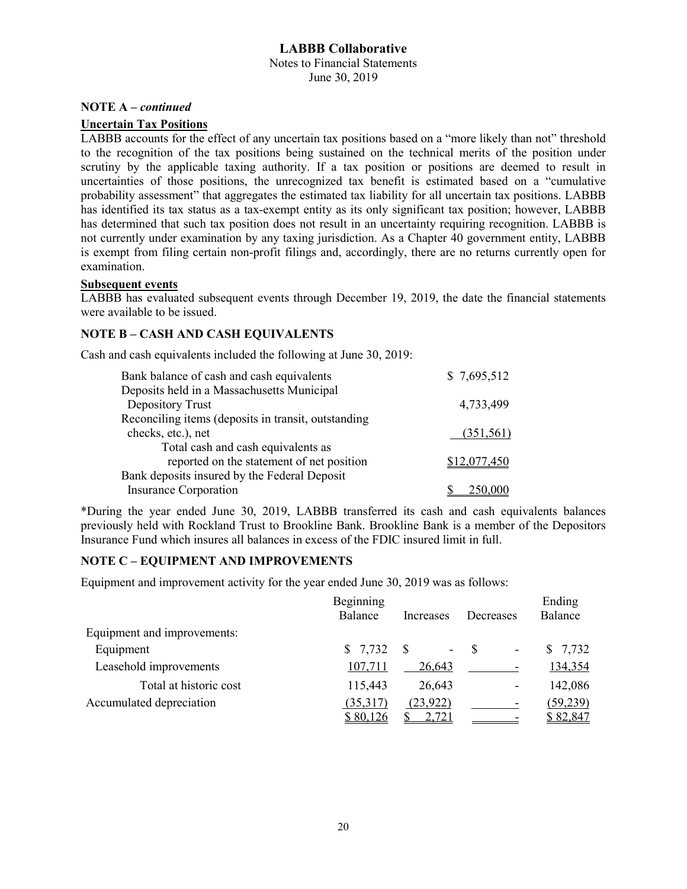#### **NOTE A –** *continued*

#### **Uncertain Tax Positions**

LABBB accounts for the effect of any uncertain tax positions based on a "more likely than not" threshold to the recognition of the tax positions being sustained on the technical merits of the position under scrutiny by the applicable taxing authority. If a tax position or positions are deemed to result in uncertainties of those positions, the unrecognized tax benefit is estimated based on a "cumulative probability assessment" that aggregates the estimated tax liability for all uncertain tax positions. LABBB has identified its tax status as a tax-exempt entity as its only significant tax position; however, LABBB has determined that such tax position does not result in an uncertainty requiring recognition. LABBB is not currently under examination by any taxing jurisdiction. As a Chapter 40 government entity, LABBB is exempt from filing certain non-profit filings and, accordingly, there are no returns currently open for examination.

#### **Subsequent events**

LABBB has evaluated subsequent events through December 19, 2019, the date the financial statements were available to be issued.

#### **NOTE B – CASH AND CASH EQUIVALENTS**

Cash and cash equivalents included the following at June 30, 2019:

| Bank balance of cash and cash equivalents           | \$7,695,512  |
|-----------------------------------------------------|--------------|
| Deposits held in a Massachusetts Municipal          |              |
| Depository Trust                                    | 4,733,499    |
| Reconciling items (deposits in transit, outstanding |              |
| checks, etc.), net                                  | (351,561)    |
| Total cash and cash equivalents as                  |              |
| reported on the statement of net position           | \$12,077,450 |
| Bank deposits insured by the Federal Deposit        |              |
| <b>Insurance Corporation</b>                        | 250,000      |

\*During the year ended June 30, 2019, LABBB transferred its cash and cash equivalents balances previously held with Rockland Trust to Brookline Bank. Brookline Bank is a member of the Depositors Insurance Fund which insures all balances in excess of the FDIC insured limit in full.

#### **NOTE C – EQUIPMENT AND IMPROVEMENTS**

Equipment and improvement activity for the year ended June 30, 2019 was as follows:

|                             | Beginning<br>Balance | Increases | Decreases                      | Ending<br>Balance |
|-----------------------------|----------------------|-----------|--------------------------------|-------------------|
| Equipment and improvements: |                      |           |                                |                   |
| Equipment                   | \$7,732              | Ξ.        | -8<br>$\overline{\phantom{a}}$ | \$7,732           |
| Leasehold improvements      | 107,711              | 26,643    |                                | 134,354           |
| Total at historic cost      | 115,443              | 26,643    |                                | 142,086           |
| Accumulated depreciation    | (35,317)             | (23, 922) |                                | (59,239)          |
|                             | \$80,126             | 2,721     |                                | \$82,847          |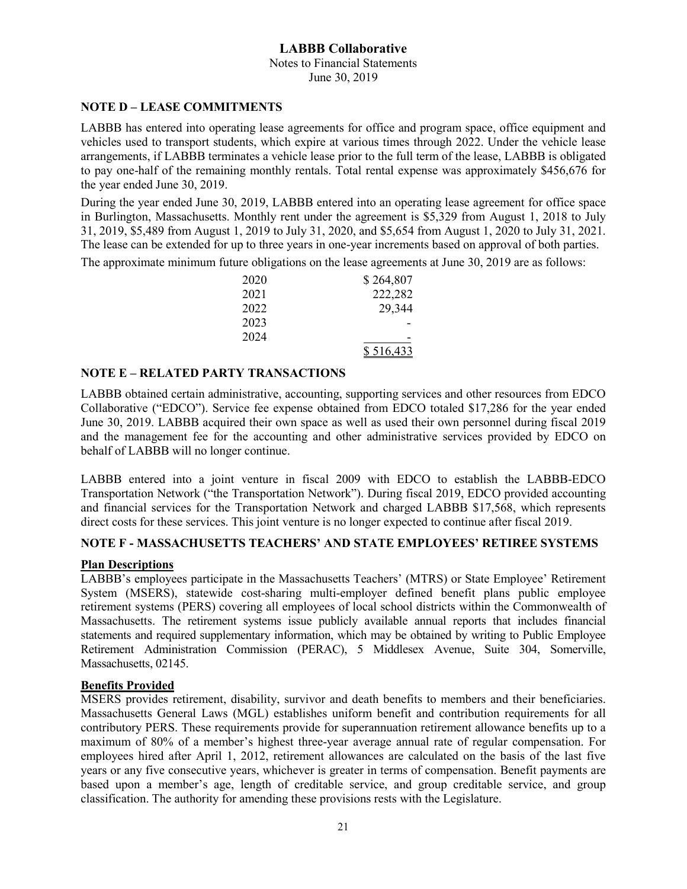Notes to Financial Statements June 30, 2019

## **NOTE D – LEASE COMMITMENTS**

LABBB has entered into operating lease agreements for office and program space, office equipment and vehicles used to transport students, which expire at various times through 2022. Under the vehicle lease arrangements, if LABBB terminates a vehicle lease prior to the full term of the lease, LABBB is obligated to pay one-half of the remaining monthly rentals. Total rental expense was approximately \$456,676 for the year ended June 30, 2019.

During the year ended June 30, 2019, LABBB entered into an operating lease agreement for office space in Burlington, Massachusetts. Monthly rent under the agreement is \$5,329 from August 1, 2018 to July 31, 2019, \$5,489 from August 1, 2019 to July 31, 2020, and \$5,654 from August 1, 2020 to July 31, 2021. The lease can be extended for up to three years in one-year increments based on approval of both parties.

The approximate minimum future obligations on the lease agreements at June 30, 2019 are as follows:

| 2020 | \$264,807        |
|------|------------------|
| 2021 | 222,282          |
| 2022 | 29,344           |
| 2023 |                  |
| 2024 |                  |
|      | <u>\$516,433</u> |

## **NOTE E – RELATED PARTY TRANSACTIONS**

LABBB obtained certain administrative, accounting, supporting services and other resources from EDCO Collaborative ("EDCO"). Service fee expense obtained from EDCO totaled \$17,286 for the year ended June 30, 2019. LABBB acquired their own space as well as used their own personnel during fiscal 2019 and the management fee for the accounting and other administrative services provided by EDCO on behalf of LABBB will no longer continue.

LABBB entered into a joint venture in fiscal 2009 with EDCO to establish the LABBB-EDCO Transportation Network ("the Transportation Network"). During fiscal 2019, EDCO provided accounting and financial services for the Transportation Network and charged LABBB \$17,568, which represents direct costs for these services. This joint venture is no longer expected to continue after fiscal 2019.

## **NOTE F - MASSACHUSETTS TEACHERS' AND STATE EMPLOYEES' RETIREE SYSTEMS**

## **Plan Descriptions**

LABBB's employees participate in the Massachusetts Teachers' (MTRS) or State Employee' Retirement System (MSERS), statewide cost-sharing multi-employer defined benefit plans public employee retirement systems (PERS) covering all employees of local school districts within the Commonwealth of Massachusetts. The retirement systems issue publicly available annual reports that includes financial statements and required supplementary information, which may be obtained by writing to Public Employee Retirement Administration Commission (PERAC), 5 Middlesex Avenue, Suite 304, Somerville, Massachusetts, 02145.

## **Benefits Provided**

MSERS provides retirement, disability, survivor and death benefits to members and their beneficiaries. Massachusetts General Laws (MGL) establishes uniform benefit and contribution requirements for all contributory PERS. These requirements provide for superannuation retirement allowance benefits up to a maximum of 80% of a member's highest three-year average annual rate of regular compensation. For employees hired after April 1, 2012, retirement allowances are calculated on the basis of the last five years or any five consecutive years, whichever is greater in terms of compensation. Benefit payments are based upon a member's age, length of creditable service, and group creditable service, and group classification. The authority for amending these provisions rests with the Legislature.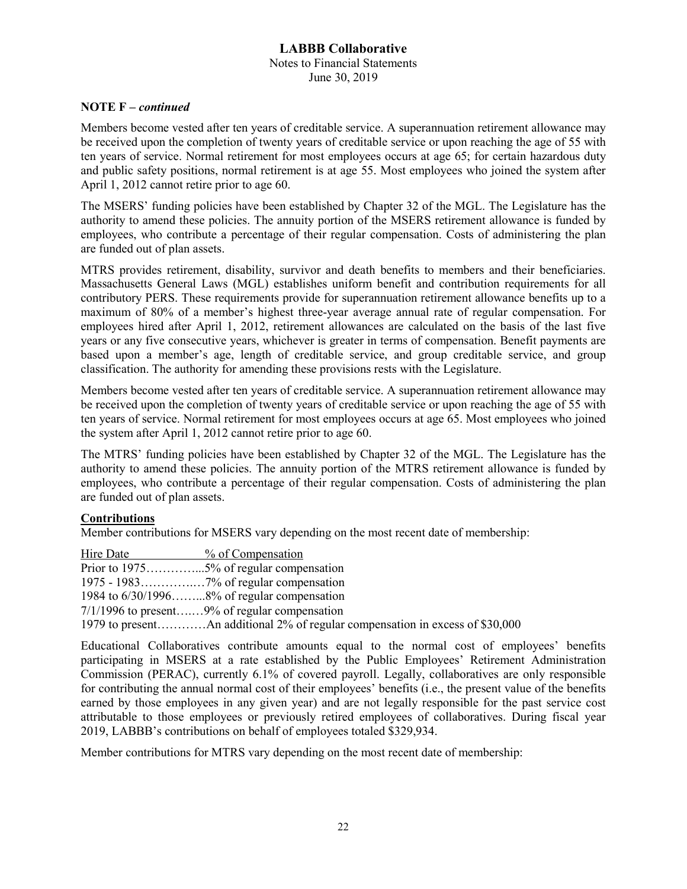June 30, 2019

## **NOTE F –** *continued*

Members become vested after ten years of creditable service. A superannuation retirement allowance may be received upon the completion of twenty years of creditable service or upon reaching the age of 55 with ten years of service. Normal retirement for most employees occurs at age 65; for certain hazardous duty and public safety positions, normal retirement is at age 55. Most employees who joined the system after April 1, 2012 cannot retire prior to age 60.

The MSERS' funding policies have been established by Chapter 32 of the MGL. The Legislature has the authority to amend these policies. The annuity portion of the MSERS retirement allowance is funded by employees, who contribute a percentage of their regular compensation. Costs of administering the plan are funded out of plan assets.

MTRS provides retirement, disability, survivor and death benefits to members and their beneficiaries. Massachusetts General Laws (MGL) establishes uniform benefit and contribution requirements for all contributory PERS. These requirements provide for superannuation retirement allowance benefits up to a maximum of 80% of a member's highest three-year average annual rate of regular compensation. For employees hired after April 1, 2012, retirement allowances are calculated on the basis of the last five years or any five consecutive years, whichever is greater in terms of compensation. Benefit payments are based upon a member's age, length of creditable service, and group creditable service, and group classification. The authority for amending these provisions rests with the Legislature.

Members become vested after ten years of creditable service. A superannuation retirement allowance may be received upon the completion of twenty years of creditable service or upon reaching the age of 55 with ten years of service. Normal retirement for most employees occurs at age 65. Most employees who joined the system after April 1, 2012 cannot retire prior to age 60.

The MTRS' funding policies have been established by Chapter 32 of the MGL. The Legislature has the authority to amend these policies. The annuity portion of the MTRS retirement allowance is funded by employees, who contribute a percentage of their regular compensation. Costs of administering the plan are funded out of plan assets.

## **Contributions**

Member contributions for MSERS vary depending on the most recent date of membership:

| Hire Date | % of Compensation                               |
|-----------|-------------------------------------------------|
|           | Prior to $1975$ 5% of regular compensation      |
|           |                                                 |
|           | 1984 to $6/30/1996$ 8% of regular compensation  |
|           | $7/1/1996$ to present9% of regular compensation |
|           |                                                 |

Educational Collaboratives contribute amounts equal to the normal cost of employees' benefits participating in MSERS at a rate established by the Public Employees' Retirement Administration Commission (PERAC), currently 6.1% of covered payroll. Legally, collaboratives are only responsible for contributing the annual normal cost of their employees' benefits (i.e., the present value of the benefits earned by those employees in any given year) and are not legally responsible for the past service cost attributable to those employees or previously retired employees of collaboratives. During fiscal year 2019, LABBB's contributions on behalf of employees totaled \$329,934.

Member contributions for MTRS vary depending on the most recent date of membership: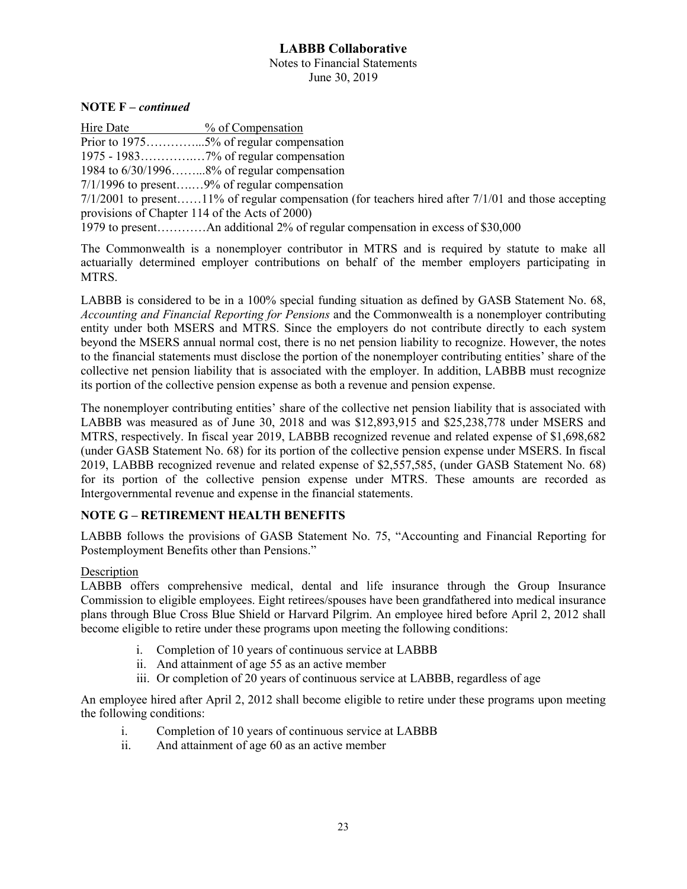Notes to Financial Statements June 30, 2019

## **NOTE F –** *continued*

| Hire Date                                      | % of Compensation                                                                                       |
|------------------------------------------------|---------------------------------------------------------------------------------------------------------|
|                                                | Prior to $1975$ 5% of regular compensation                                                              |
|                                                |                                                                                                         |
|                                                | 1984 to 6/30/19968% of regular compensation                                                             |
|                                                | $7/1/1996$ to present9% of regular compensation                                                         |
|                                                | $7/1/2001$ to present11% of regular compensation (for teachers hired after $7/1/01$ and those accepting |
| provisions of Chapter 114 of the Acts of 2000) |                                                                                                         |
|                                                |                                                                                                         |
|                                                |                                                                                                         |

The Commonwealth is a nonemployer contributor in MTRS and is required by statute to make all actuarially determined employer contributions on behalf of the member employers participating in MTRS.

LABBB is considered to be in a 100% special funding situation as defined by GASB Statement No. 68, *Accounting and Financial Reporting for Pensions* and the Commonwealth is a nonemployer contributing entity under both MSERS and MTRS. Since the employers do not contribute directly to each system beyond the MSERS annual normal cost, there is no net pension liability to recognize. However, the notes to the financial statements must disclose the portion of the nonemployer contributing entities' share of the collective net pension liability that is associated with the employer. In addition, LABBB must recognize its portion of the collective pension expense as both a revenue and pension expense.

The nonemployer contributing entities' share of the collective net pension liability that is associated with LABBB was measured as of June 30, 2018 and was \$12,893,915 and \$25,238,778 under MSERS and MTRS, respectively. In fiscal year 2019, LABBB recognized revenue and related expense of \$1,698,682 (under GASB Statement No. 68) for its portion of the collective pension expense under MSERS. In fiscal 2019, LABBB recognized revenue and related expense of \$2,557,585, (under GASB Statement No. 68) for its portion of the collective pension expense under MTRS. These amounts are recorded as Intergovernmental revenue and expense in the financial statements.

## **NOTE G – RETIREMENT HEALTH BENEFITS**

LABBB follows the provisions of GASB Statement No. 75, "Accounting and Financial Reporting for Postemployment Benefits other than Pensions."

## **Description**

LABBB offers comprehensive medical, dental and life insurance through the Group Insurance Commission to eligible employees. Eight retirees/spouses have been grandfathered into medical insurance plans through Blue Cross Blue Shield or Harvard Pilgrim. An employee hired before April 2, 2012 shall become eligible to retire under these programs upon meeting the following conditions:

- i. Completion of 10 years of continuous service at LABBB
- ii. And attainment of age 55 as an active member
- iii. Or completion of 20 years of continuous service at LABBB, regardless of age

An employee hired after April 2, 2012 shall become eligible to retire under these programs upon meeting the following conditions:

- i. Completion of 10 years of continuous service at LABBB
- ii. And attainment of age 60 as an active member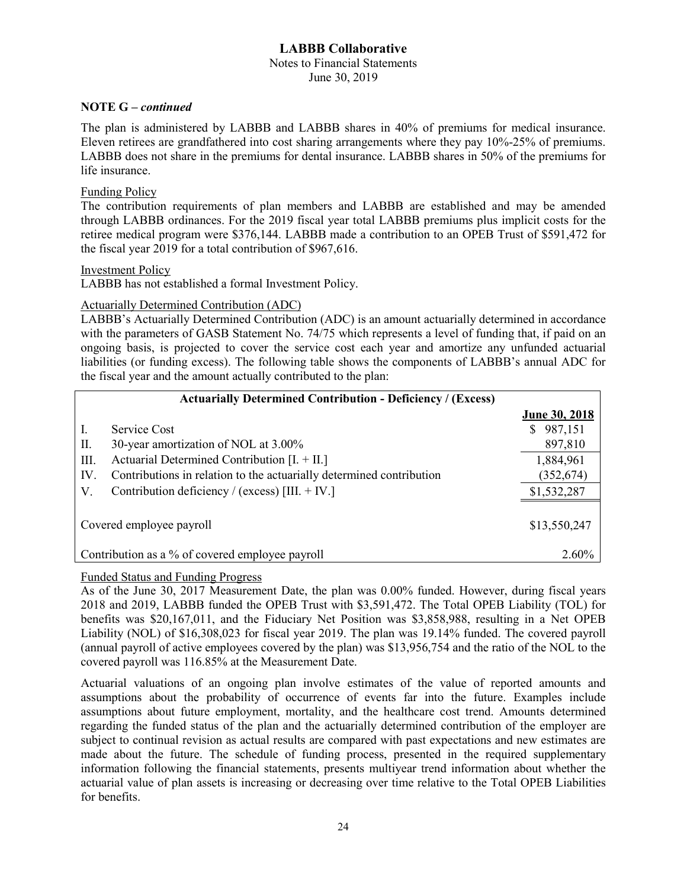Notes to Financial Statements June 30, 2019

## **NOTE G –** *continued*

The plan is administered by LABBB and LABBB shares in 40% of premiums for medical insurance. Eleven retirees are grandfathered into cost sharing arrangements where they pay 10%-25% of premiums. LABBB does not share in the premiums for dental insurance. LABBB shares in 50% of the premiums for life insurance.

## Funding Policy

The contribution requirements of plan members and LABBB are established and may be amended through LABBB ordinances. For the 2019 fiscal year total LABBB premiums plus implicit costs for the retiree medical program were \$376,144. LABBB made a contribution to an OPEB Trust of \$591,472 for the fiscal year 2019 for a total contribution of \$967,616.

#### Investment Policy

LABBB has not established a formal Investment Policy.

## Actuarially Determined Contribution (ADC)

LABBB's Actuarially Determined Contribution (ADC) is an amount actuarially determined in accordance with the parameters of GASB Statement No. 74/75 which represents a level of funding that, if paid on an ongoing basis, is projected to cover the service cost each year and amortize any unfunded actuarial liabilities (or funding excess). The following table shows the components of LABBB's annual ADC for the fiscal year and the amount actually contributed to the plan:

|                | <b>Actuarially Determined Contribution - Deficiency / (Excess)</b>   |               |
|----------------|----------------------------------------------------------------------|---------------|
|                |                                                                      | June 30, 2018 |
| $\mathbf{I}$ . | Service Cost                                                         | 987,151<br>\$ |
| П.             | 30-year amortization of NOL at 3.00%                                 | 897,810       |
| III.           | Actuarial Determined Contribution $[I. + II.]$                       | 1,884,961     |
| IV.            | Contributions in relation to the actuarially determined contribution | (352, 674)    |
| V              | Contribution deficiency / (excess) $[III. + IV.]$                    | \$1,532,287   |
|                |                                                                      |               |
|                | Covered employee payroll                                             | \$13,550,247  |
|                | Contribution as a % of covered employee payroll                      | 2.60%         |

## Funded Status and Funding Progress

As of the June 30, 2017 Measurement Date, the plan was 0.00% funded. However, during fiscal years 2018 and 2019, LABBB funded the OPEB Trust with \$3,591,472. The Total OPEB Liability (TOL) for benefits was \$20,167,011, and the Fiduciary Net Position was \$3,858,988, resulting in a Net OPEB Liability (NOL) of \$16,308,023 for fiscal year 2019. The plan was 19.14% funded. The covered payroll (annual payroll of active employees covered by the plan) was \$13,956,754 and the ratio of the NOL to the covered payroll was 116.85% at the Measurement Date.

Actuarial valuations of an ongoing plan involve estimates of the value of reported amounts and assumptions about the probability of occurrence of events far into the future. Examples include assumptions about future employment, mortality, and the healthcare cost trend. Amounts determined regarding the funded status of the plan and the actuarially determined contribution of the employer are subject to continual revision as actual results are compared with past expectations and new estimates are made about the future. The schedule of funding process, presented in the required supplementary information following the financial statements, presents multiyear trend information about whether the actuarial value of plan assets is increasing or decreasing over time relative to the Total OPEB Liabilities for benefits.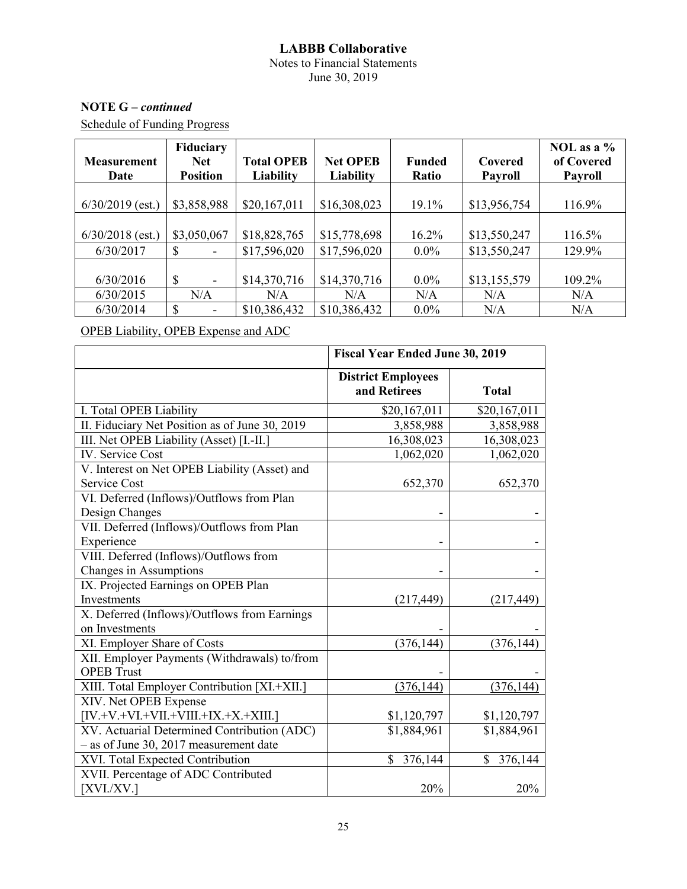## **NOTE G –** *continued*

Schedule of Funding Progress

|                    | <b>Fiduciary</b>                          |                   |                 |               |                | NOL as a $%$ |
|--------------------|-------------------------------------------|-------------------|-----------------|---------------|----------------|--------------|
| <b>Measurement</b> | <b>Net</b>                                | <b>Total OPEB</b> | <b>Net OPEB</b> | <b>Funded</b> | Covered        | of Covered   |
| Date               | <b>Position</b>                           | Liability         | Liability       | Ratio         | <b>Payroll</b> | Payroll      |
|                    |                                           |                   |                 |               |                |              |
| $6/30/2019$ (est.) | \$3,858,988                               | \$20,167,011      | \$16,308,023    | 19.1%         | \$13,956,754   | 116.9%       |
|                    |                                           |                   |                 |               |                |              |
| $6/30/2018$ (est.) | \$3,050,067                               | \$18,828,765      | \$15,778,698    | 16.2%         | \$13,550,247   | 116.5%       |
| 6/30/2017          | S<br>$\overline{\phantom{a}}$             | \$17,596,020      | \$17,596,020    | $0.0\%$       | \$13,550,247   | 129.9%       |
|                    |                                           |                   |                 |               |                |              |
| 6/30/2016          | <sup>\$</sup><br>$\overline{\phantom{a}}$ | \$14,370,716      | \$14,370,716    | $0.0\%$       | \$13,155,579   | 109.2%       |
| 6/30/2015          | N/A                                       | N/A               | N/A             | N/A           | N/A            | N/A          |
| 6/30/2014          | \$<br>$\overline{\phantom{a}}$            | \$10,386,432      | \$10,386,432    | $0.0\%$       | N/A            | N/A          |

OPEB Liability, OPEB Expense and ADC

|                                                | <b>Fiscal Year Ended June 30, 2019</b>    |               |
|------------------------------------------------|-------------------------------------------|---------------|
|                                                | <b>District Employees</b><br>and Retirees | <b>Total</b>  |
| I. Total OPEB Liability                        | \$20,167,011                              | \$20,167,011  |
| II. Fiduciary Net Position as of June 30, 2019 | 3,858,988                                 | 3,858,988     |
| III. Net OPEB Liability (Asset) [I.-II.]       | 16,308,023                                | 16,308,023    |
| <b>IV.</b> Service Cost                        | 1,062,020                                 | 1,062,020     |
| V. Interest on Net OPEB Liability (Asset) and  |                                           |               |
| <b>Service Cost</b>                            | 652,370                                   | 652,370       |
| VI. Deferred (Inflows)/Outflows from Plan      |                                           |               |
| Design Changes                                 |                                           |               |
| VII. Deferred (Inflows)/Outflows from Plan     |                                           |               |
| Experience                                     |                                           |               |
| VIII. Deferred (Inflows)/Outflows from         |                                           |               |
| Changes in Assumptions                         |                                           |               |
| IX. Projected Earnings on OPEB Plan            |                                           |               |
| Investments                                    | (217, 449)                                | (217, 449)    |
| X. Deferred (Inflows)/Outflows from Earnings   |                                           |               |
| on Investments                                 |                                           |               |
| XI. Employer Share of Costs                    | (376, 144)                                | (376, 144)    |
| XII. Employer Payments (Withdrawals) to/from   |                                           |               |
| <b>OPEB</b> Trust                              |                                           |               |
| XIII. Total Employer Contribution [XI.+XII.]   | (376, 144)                                | (376, 144)    |
| XIV. Net OPEB Expense                          |                                           |               |
| $[IV.+V.+VI.+VII.+VIII.+IX.+X.+XIII.]$         | \$1,120,797                               | \$1,120,797   |
| XV. Actuarial Determined Contribution (ADC)    | \$1,884,961                               | \$1,884,961   |
| - as of June 30, 2017 measurement date         |                                           |               |
| XVI. Total Expected Contribution               | \$<br>376,144                             | 376,144<br>\$ |
| XVII. Percentage of ADC Contributed            |                                           |               |
| [XVI./XV.]                                     | 20%                                       | 20%           |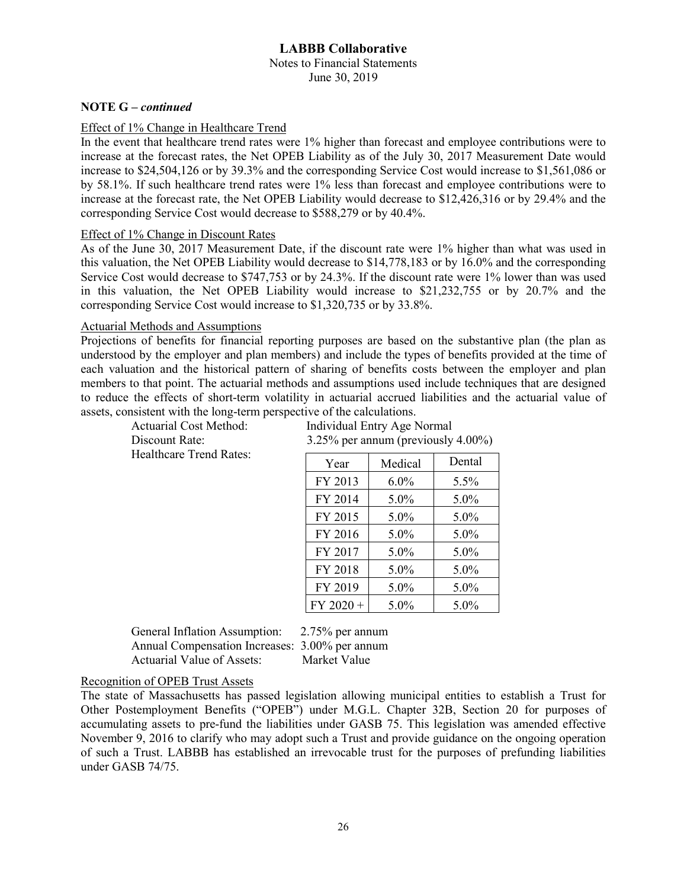#### **NOTE G –** *continued*

#### Effect of 1% Change in Healthcare Trend

In the event that healthcare trend rates were 1% higher than forecast and employee contributions were to increase at the forecast rates, the Net OPEB Liability as of the July 30, 2017 Measurement Date would increase to \$24,504,126 or by 39.3% and the corresponding Service Cost would increase to \$1,561,086 or by 58.1%. If such healthcare trend rates were 1% less than forecast and employee contributions were to increase at the forecast rate, the Net OPEB Liability would decrease to \$12,426,316 or by 29.4% and the corresponding Service Cost would decrease to \$588,279 or by 40.4%.

#### Effect of 1% Change in Discount Rates

As of the June 30, 2017 Measurement Date, if the discount rate were 1% higher than what was used in this valuation, the Net OPEB Liability would decrease to \$14,778,183 or by 16.0% and the corresponding Service Cost would decrease to \$747,753 or by 24.3%. If the discount rate were 1% lower than was used in this valuation, the Net OPEB Liability would increase to \$21,232,755 or by 20.7% and the corresponding Service Cost would increase to \$1,320,735 or by 33.8%.

#### Actuarial Methods and Assumptions

Projections of benefits for financial reporting purposes are based on the substantive plan (the plan as understood by the employer and plan members) and include the types of benefits provided at the time of each valuation and the historical pattern of sharing of benefits costs between the employer and plan members to that point. The actuarial methods and assumptions used include techniques that are designed to reduce the effects of short-term volatility in actuarial accrued liabilities and the actuarial value of assets, consistent with the long-term perspective of the calculations.

Actuarial Cost Method: Individual Entry Age Normal Healthcare Trend Rates:

Discount Rate: 3.25% per annum (previously 4.00%)

| Year      | Medical | Dental  |
|-----------|---------|---------|
| FY 2013   | 6.0%    | 5.5%    |
| FY 2014   | 5.0%    | 5.0%    |
| FY 2015   | $5.0\%$ | $5.0\%$ |
| FY 2016   | $5.0\%$ | $5.0\%$ |
| FY 2017   | 5.0%    | 5.0%    |
| FY 2018   | 5.0%    | 5.0%    |
| FY 2019   | 5.0%    | 5.0%    |
| FY 2020 + | $5.0\%$ | 5.0%    |

General Inflation Assumption: 2.75% per annum Annual Compensation Increases: 3.00% per annum Actuarial Value of Assets: Market Value

## Recognition of OPEB Trust Assets

The state of Massachusetts has passed legislation allowing municipal entities to establish a Trust for Other Postemployment Benefits ("OPEB") under M.G.L. Chapter 32B, Section 20 for purposes of accumulating assets to pre-fund the liabilities under GASB 75. This legislation was amended effective November 9, 2016 to clarify who may adopt such a Trust and provide guidance on the ongoing operation of such a Trust. LABBB has established an irrevocable trust for the purposes of prefunding liabilities under GASB 74/75.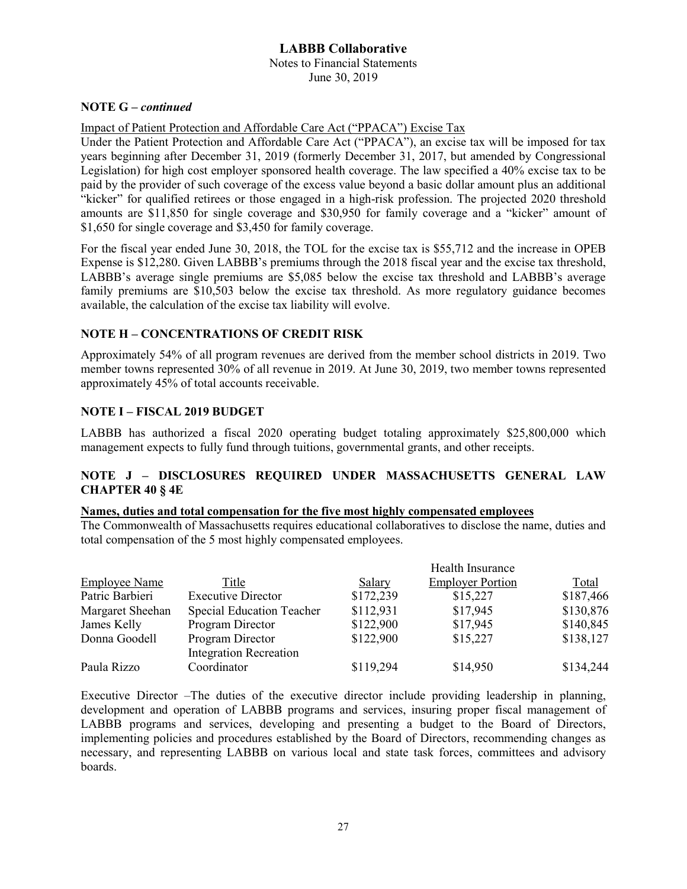### **NOTE G –** *continued*

Impact of Patient Protection and Affordable Care Act ("PPACA") Excise Tax

Under the Patient Protection and Affordable Care Act ("PPACA"), an excise tax will be imposed for tax years beginning after December 31, 2019 (formerly December 31, 2017, but amended by Congressional Legislation) for high cost employer sponsored health coverage. The law specified a 40% excise tax to be paid by the provider of such coverage of the excess value beyond a basic dollar amount plus an additional "kicker" for qualified retirees or those engaged in a high-risk profession. The projected 2020 threshold amounts are \$11,850 for single coverage and \$30,950 for family coverage and a "kicker" amount of \$1,650 for single coverage and \$3,450 for family coverage.

For the fiscal year ended June 30, 2018, the TOL for the excise tax is \$55,712 and the increase in OPEB Expense is \$12,280. Given LABBB's premiums through the 2018 fiscal year and the excise tax threshold, LABBB's average single premiums are \$5,085 below the excise tax threshold and LABBB's average family premiums are \$10,503 below the excise tax threshold. As more regulatory guidance becomes available, the calculation of the excise tax liability will evolve.

## **NOTE H – CONCENTRATIONS OF CREDIT RISK**

Approximately 54% of all program revenues are derived from the member school districts in 2019. Two member towns represented 30% of all revenue in 2019. At June 30, 2019, two member towns represented approximately 45% of total accounts receivable.

## **NOTE I – FISCAL 2019 BUDGET**

LABBB has authorized a fiscal 2020 operating budget totaling approximately \$25,800,000 which management expects to fully fund through tuitions, governmental grants, and other receipts.

## **NOTE J – DISCLOSURES REQUIRED UNDER MASSACHUSETTS GENERAL LAW CHAPTER 40 § 4E**

#### **Names, duties and total compensation for the five most highly compensated employees**

The Commonwealth of Massachusetts requires educational collaboratives to disclose the name, duties and total compensation of the 5 most highly compensated employees.

|                      |                               |               | Health Insurance        |           |
|----------------------|-------------------------------|---------------|-------------------------|-----------|
| <b>Employee Name</b> | Title                         | <b>Salary</b> | <b>Employer Portion</b> | Total     |
| Patric Barbieri      | <b>Executive Director</b>     | \$172,239     | \$15,227                | \$187,466 |
| Margaret Sheehan     | Special Education Teacher     | \$112,931     | \$17,945                | \$130,876 |
| James Kelly          | Program Director              | \$122,900     | \$17,945                | \$140,845 |
| Donna Goodell        | Program Director              | \$122,900     | \$15,227                | \$138,127 |
|                      | <b>Integration Recreation</b> |               |                         |           |
| Paula Rizzo          | Coordinator                   | \$119,294     | \$14,950                | \$134,244 |

Executive Director –The duties of the executive director include providing leadership in planning, development and operation of LABBB programs and services, insuring proper fiscal management of LABBB programs and services, developing and presenting a budget to the Board of Directors, implementing policies and procedures established by the Board of Directors, recommending changes as necessary, and representing LABBB on various local and state task forces, committees and advisory boards.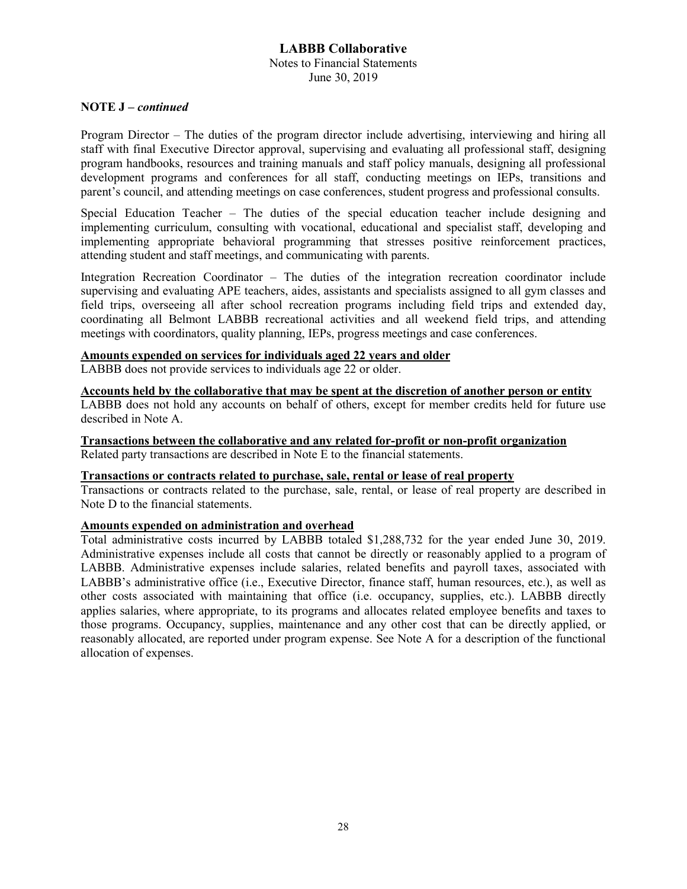#### **NOTE J –** *continued*

Program Director – The duties of the program director include advertising, interviewing and hiring all staff with final Executive Director approval, supervising and evaluating all professional staff, designing program handbooks, resources and training manuals and staff policy manuals, designing all professional development programs and conferences for all staff, conducting meetings on IEPs, transitions and parent's council, and attending meetings on case conferences, student progress and professional consults.

Special Education Teacher – The duties of the special education teacher include designing and implementing curriculum, consulting with vocational, educational and specialist staff, developing and implementing appropriate behavioral programming that stresses positive reinforcement practices, attending student and staff meetings, and communicating with parents.

Integration Recreation Coordinator – The duties of the integration recreation coordinator include supervising and evaluating APE teachers, aides, assistants and specialists assigned to all gym classes and field trips, overseeing all after school recreation programs including field trips and extended day, coordinating all Belmont LABBB recreational activities and all weekend field trips, and attending meetings with coordinators, quality planning, IEPs, progress meetings and case conferences.

#### **Amounts expended on services for individuals aged 22 years and older**

LABBB does not provide services to individuals age 22 or older.

**Accounts held by the collaborative that may be spent at the discretion of another person or entity**

LABBB does not hold any accounts on behalf of others, except for member credits held for future use described in Note A.

**Transactions between the collaborative and any related for-profit or non-profit organization**

Related party transactions are described in Note E to the financial statements.

## **Transactions or contracts related to purchase, sale, rental or lease of real property**

Transactions or contracts related to the purchase, sale, rental, or lease of real property are described in Note D to the financial statements.

#### **Amounts expended on administration and overhead**

Total administrative costs incurred by LABBB totaled \$1,288,732 for the year ended June 30, 2019. Administrative expenses include all costs that cannot be directly or reasonably applied to a program of LABBB. Administrative expenses include salaries, related benefits and payroll taxes, associated with LABBB's administrative office (i.e., Executive Director, finance staff, human resources, etc.), as well as other costs associated with maintaining that office (i.e. occupancy, supplies, etc.). LABBB directly applies salaries, where appropriate, to its programs and allocates related employee benefits and taxes to those programs. Occupancy, supplies, maintenance and any other cost that can be directly applied, or reasonably allocated, are reported under program expense. See Note A for a description of the functional allocation of expenses.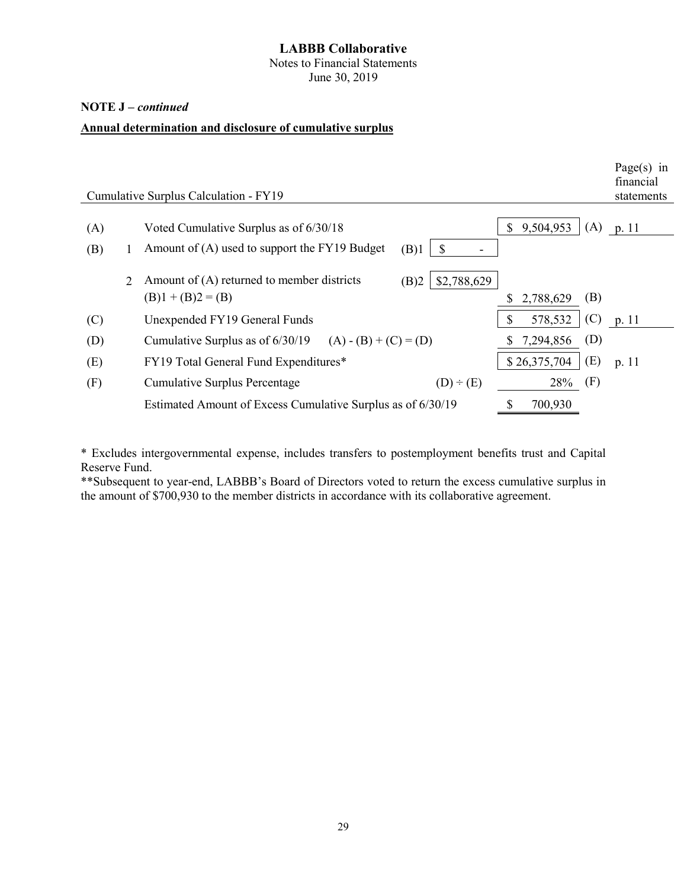Notes to Financial Statements June 30, 2019

## **NOTE J –** *continued*

## **Annual determination and disclosure of cumulative surplus**

|     |                             | Cumulative Surplus Calculation - FY19                                                      |                        | Page $(s)$ in<br>financial<br>statements |
|-----|-----------------------------|--------------------------------------------------------------------------------------------|------------------------|------------------------------------------|
| (A) |                             | Voted Cumulative Surplus as of 6/30/18                                                     | 9,504,953<br>(A)<br>\$ | p. 11                                    |
| (B) |                             | Amount of (A) used to support the FY19 Budget<br>(B)1<br>S<br>$\overline{\phantom{a}}$     |                        |                                          |
|     | $\mathcal{D}_{\mathcal{L}}$ | Amount of $(A)$ returned to member districts<br>\$2,788,629<br>(B)2<br>$(B)1 + (B)2 = (B)$ | (B)<br>2,788,629       |                                          |
| (C) |                             | Unexpended FY19 General Funds                                                              | (C)<br>578,532<br>S.   | p. 11                                    |
| (D) |                             | Cumulative Surplus as of $6/30/19$ (A) - (B) + (C) = (D)                                   | (D)<br>7,294,856       |                                          |
| (E) |                             | FY19 Total General Fund Expenditures*                                                      | (E)<br>\$26,375,704    | p. 11                                    |
| (F) |                             | <b>Cumulative Surplus Percentage</b><br>$(D) \div (E)$                                     | (F)<br>28%             |                                          |
|     |                             | Estimated Amount of Excess Cumulative Surplus as of 6/30/19                                | 700,930                |                                          |

\* Excludes intergovernmental expense, includes transfers to postemployment benefits trust and Capital Reserve Fund.

\*\*Subsequent to year-end, LABBB's Board of Directors voted to return the excess cumulative surplus in the amount of \$700,930 to the member districts in accordance with its collaborative agreement.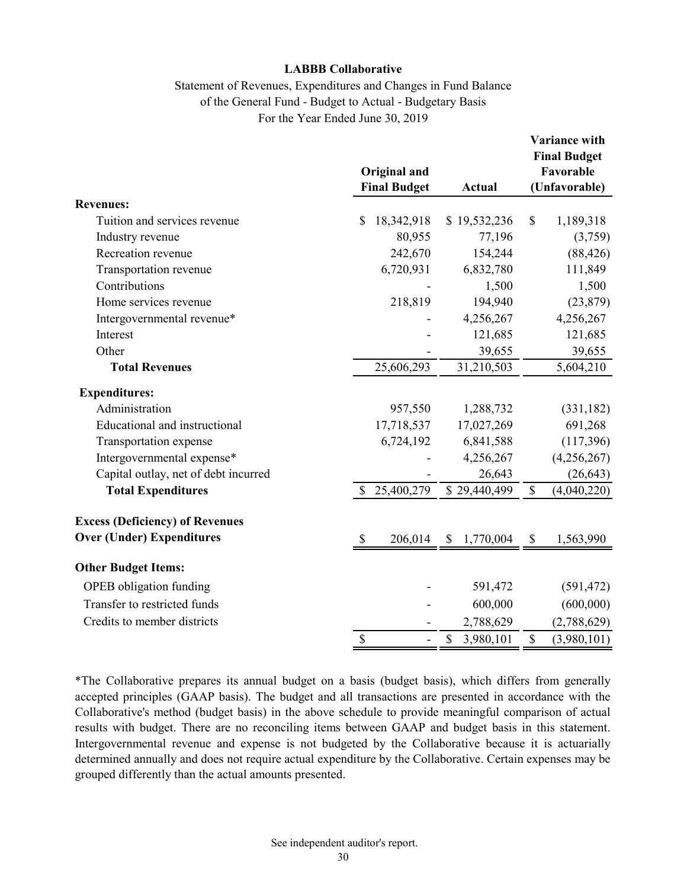## Statement of Revenues, Expenditures and Changes in Fund Balance of the General Fund - Budget to Actual - Budgetary Basis For the Year Ended June 30, 2019

|                                        |                                      |                 | <b>Variance with</b><br><b>Final Budget</b> |  |  |
|----------------------------------------|--------------------------------------|-----------------|---------------------------------------------|--|--|
|                                        | Original and                         |                 | Favorable                                   |  |  |
|                                        | <b>Final Budget</b>                  | <b>Actual</b>   | (Unfavorable)                               |  |  |
| <b>Revenues:</b>                       |                                      |                 |                                             |  |  |
| Tuition and services revenue           | 18,342,918<br>\$                     | \$19,532,236    | \$<br>1,189,318                             |  |  |
| Industry revenue                       | 80,955                               | 77,196          | (3,759)                                     |  |  |
| Recreation revenue                     | 242,670                              | 154,244         | (88, 426)                                   |  |  |
| Transportation revenue                 | 6,720,931                            | 6,832,780       | 111,849                                     |  |  |
| Contributions                          |                                      | 1,500           | 1,500                                       |  |  |
| Home services revenue                  | 218,819                              | 194,940         | (23, 879)                                   |  |  |
| Intergovernmental revenue*             |                                      | 4,256,267       | 4,256,267                                   |  |  |
| Interest                               |                                      | 121,685         | 121,685                                     |  |  |
| Other                                  |                                      | 39,655          | 39,655                                      |  |  |
| <b>Total Revenues</b>                  | 25,606,293                           | 31,210,503      | 5,604,210                                   |  |  |
| <b>Expenditures:</b>                   |                                      |                 |                                             |  |  |
| Administration                         | 957,550                              | 1,288,732       | (331, 182)                                  |  |  |
| Educational and instructional          | 17,718,537                           | 17,027,269      | 691,268                                     |  |  |
| Transportation expense                 | 6,724,192                            | 6,841,588       | (117,396)                                   |  |  |
| Intergovernmental expense*             |                                      | 4,256,267       | (4,256,267)                                 |  |  |
| Capital outlay, net of debt incurred   |                                      | 26,643          | (26, 643)                                   |  |  |
| <b>Total Expenditures</b>              | 25,400,279<br>$\mathbb{S}$           | \$29,440,499    | $\boldsymbol{\mathsf{S}}$<br>(4,040,220)    |  |  |
| <b>Excess (Deficiency) of Revenues</b> |                                      |                 |                                             |  |  |
| <b>Over (Under) Expenditures</b>       | $\boldsymbol{\mathsf{S}}$<br>206,014 | 1,770,004<br>\$ | \$<br>1,563,990                             |  |  |
| <b>Other Budget Items:</b>             |                                      |                 |                                             |  |  |
| <b>OPEB</b> obligation funding         |                                      | 591,472         | (591, 472)                                  |  |  |
| Transfer to restricted funds           |                                      | 600,000         | (600,000)                                   |  |  |
| Credits to member districts            |                                      | 2,788,629       | (2,788,629)                                 |  |  |
|                                        | \$                                   | \$<br>3,980,101 | \$<br>(3,980,101)                           |  |  |

\*The Collaborative prepares its annual budget on a basis (budget basis), which differs from generally accepted principles (GAAP basis). The budget and all transactions are presented in accordance with the Collaborative's method (budget basis) in the above schedule to provide meaningful comparison of actual results with budget. There are no reconciling items between GAAP and budget basis in this statement. Intergovernmental revenue and expense is not budgeted by the Collaborative because it is actuarially determined annually and does not require actual expenditure by the Collaborative. Certain expenses may be grouped differently than the actual amounts presented.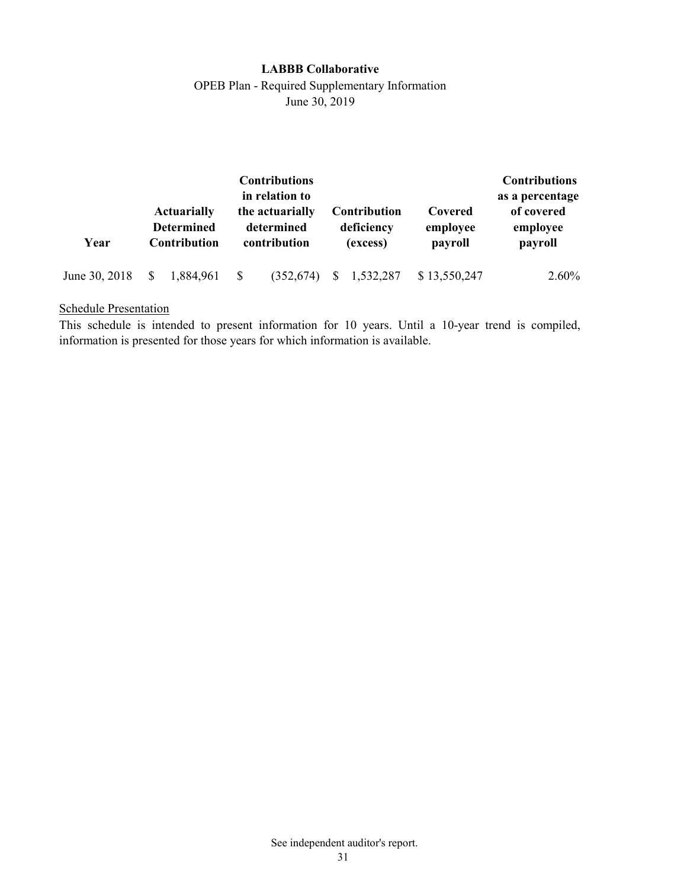## **LABBB Collaborative** OPEB Plan - Required Supplementary Information June 30, 2019

| Year          |    | <b>Actuarially</b><br><b>Determined</b><br><b>Contribution</b> |          | <b>Contributions</b><br>in relation to<br>the actuarially<br>determined<br>contribution |    | <b>Contribution</b><br>deficiency<br>(excess) | Covered<br>employee<br>payroll | <b>Contributions</b><br>as a percentage<br>of covered<br>employee<br>payroll |
|---------------|----|----------------------------------------------------------------|----------|-----------------------------------------------------------------------------------------|----|-----------------------------------------------|--------------------------------|------------------------------------------------------------------------------|
| June 30, 2018 | -S | 1,884,961                                                      | <b>S</b> | (352, 674)                                                                              | S. | 1,532,287                                     | \$13,550,247                   | $2.60\%$                                                                     |

## Schedule Presentation

This schedule is intended to present information for 10 years. Until a 10-year trend is compiled, information is presented for those years for which information is available.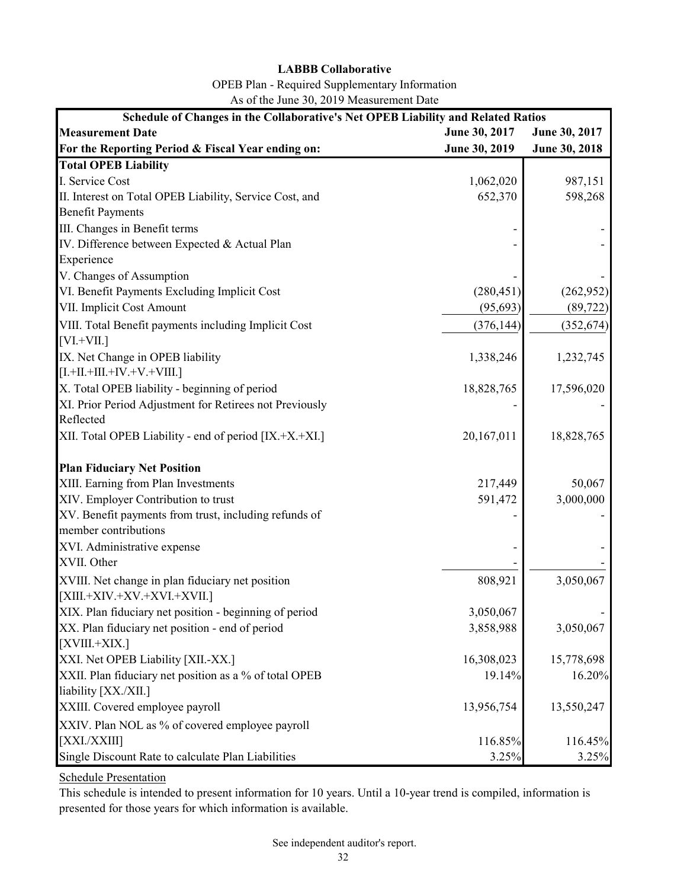| <b>OPEB Plan - Required Supplementary Information</b> |  |
|-------------------------------------------------------|--|
| As of the June 30, 2019 Measurement Date              |  |

| Schedule of Changes in the Collaborative's Net OPEB Liability and Related Ratios<br>June 30, 2017<br>June 30, 2017<br><b>Measurement Date</b><br>June 30, 2019<br>June 30, 2018<br>For the Reporting Period & Fiscal Year ending on:<br><b>Total OPEB Liability</b><br>I. Service Cost<br>1,062,020<br>987,151 | 598,268   |
|----------------------------------------------------------------------------------------------------------------------------------------------------------------------------------------------------------------------------------------------------------------------------------------------------------------|-----------|
|                                                                                                                                                                                                                                                                                                                |           |
|                                                                                                                                                                                                                                                                                                                |           |
|                                                                                                                                                                                                                                                                                                                |           |
|                                                                                                                                                                                                                                                                                                                |           |
| 652,370<br>II. Interest on Total OPEB Liability, Service Cost, and                                                                                                                                                                                                                                             |           |
| <b>Benefit Payments</b>                                                                                                                                                                                                                                                                                        |           |
| III. Changes in Benefit terms                                                                                                                                                                                                                                                                                  |           |
| IV. Difference between Expected & Actual Plan                                                                                                                                                                                                                                                                  |           |
| Experience                                                                                                                                                                                                                                                                                                     |           |
| V. Changes of Assumption                                                                                                                                                                                                                                                                                       |           |
| VI. Benefit Payments Excluding Implicit Cost<br>(280, 451)<br>(262, 952)                                                                                                                                                                                                                                       |           |
| VII. Implicit Cost Amount<br>(95, 693)                                                                                                                                                                                                                                                                         | (89, 722) |
| VIII. Total Benefit payments including Implicit Cost<br>(376, 144)<br>(352, 674)<br>$[VI.+VII.]$                                                                                                                                                                                                               |           |
| IX. Net Change in OPEB liability<br>1,338,246<br>1,232,745                                                                                                                                                                                                                                                     |           |
| $[I.+II.+III.+IV.+V.+VIII.]$                                                                                                                                                                                                                                                                                   |           |
| X. Total OPEB liability - beginning of period<br>17,596,020<br>18,828,765                                                                                                                                                                                                                                      |           |
| XI. Prior Period Adjustment for Retirees not Previously                                                                                                                                                                                                                                                        |           |
| Reflected                                                                                                                                                                                                                                                                                                      |           |
| 20,167,011<br>XII. Total OPEB Liability - end of period [IX.+X.+XI.]<br>18,828,765                                                                                                                                                                                                                             |           |
| <b>Plan Fiduciary Net Position</b>                                                                                                                                                                                                                                                                             |           |
| XIII. Earning from Plan Investments<br>217,449                                                                                                                                                                                                                                                                 | 50,067    |
| XIV. Employer Contribution to trust<br>591,472<br>3,000,000                                                                                                                                                                                                                                                    |           |
| XV. Benefit payments from trust, including refunds of                                                                                                                                                                                                                                                          |           |
| member contributions                                                                                                                                                                                                                                                                                           |           |
| XVI. Administrative expense                                                                                                                                                                                                                                                                                    |           |
| XVII. Other                                                                                                                                                                                                                                                                                                    |           |
| XVIII. Net change in plan fiduciary net position<br>808,921<br>3,050,067<br>$[XIII.+XIV.+XV.+XVI.+XVII.]$                                                                                                                                                                                                      |           |
| XIX. Plan fiduciary net position - beginning of period<br>3,050,067                                                                                                                                                                                                                                            |           |
| XX. Plan fiduciary net position - end of period<br>3,858,988<br>3,050,067                                                                                                                                                                                                                                      |           |
| $[XVIII.+XIX.]$                                                                                                                                                                                                                                                                                                |           |
| XXI. Net OPEB Liability [XII.-XX.]<br>16,308,023<br>15,778,698                                                                                                                                                                                                                                                 |           |
| XXII. Plan fiduciary net position as a % of total OPEB<br>19.14%                                                                                                                                                                                                                                               | 16.20%    |
| liability [XX./XII.]                                                                                                                                                                                                                                                                                           |           |
| XXIII. Covered employee payroll<br>13,956,754<br>13,550,247                                                                                                                                                                                                                                                    |           |
| XXIV. Plan NOL as % of covered employee payroll                                                                                                                                                                                                                                                                |           |
| [XXI]/XXIII]<br>116.85%                                                                                                                                                                                                                                                                                        | 116.45%   |
| Single Discount Rate to calculate Plan Liabilities<br>3.25%                                                                                                                                                                                                                                                    | 3.25%     |

Schedule Presentation

This schedule is intended to present information for 10 years. Until a 10-year trend is compiled, information is presented for those years for which information is available.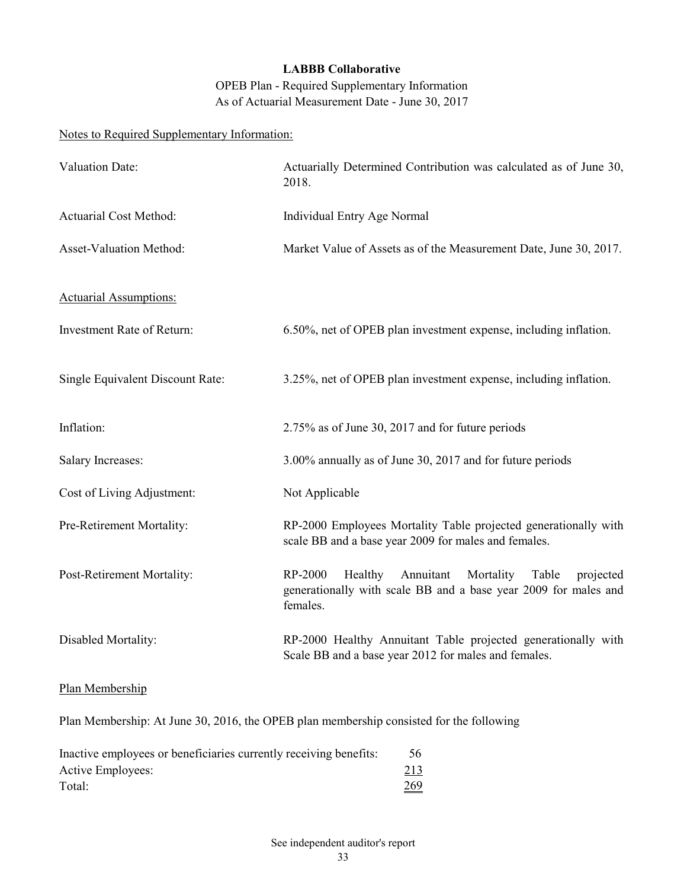OPEB Plan - Required Supplementary Information As of Actuarial Measurement Date - June 30, 2017

# Notes to Required Supplementary Information:

| Valuation Date:                  | Actuarially Determined Contribution was calculated as of June 30,<br>2018.                                                                        |
|----------------------------------|---------------------------------------------------------------------------------------------------------------------------------------------------|
| <b>Actuarial Cost Method:</b>    | Individual Entry Age Normal                                                                                                                       |
| Asset-Valuation Method:          | Market Value of Assets as of the Measurement Date, June 30, 2017.                                                                                 |
| <b>Actuarial Assumptions:</b>    |                                                                                                                                                   |
| Investment Rate of Return:       | 6.50%, net of OPEB plan investment expense, including inflation.                                                                                  |
| Single Equivalent Discount Rate: | 3.25%, net of OPEB plan investment expense, including inflation.                                                                                  |
| Inflation:                       | 2.75% as of June 30, 2017 and for future periods                                                                                                  |
| Salary Increases:                | 3.00% annually as of June 30, 2017 and for future periods                                                                                         |
| Cost of Living Adjustment:       | Not Applicable                                                                                                                                    |
| Pre-Retirement Mortality:        | RP-2000 Employees Mortality Table projected generationally with<br>scale BB and a base year 2009 for males and females.                           |
| Post-Retirement Mortality:       | RP-2000<br>Healthy<br>Annuitant<br>Mortality<br>Table<br>projected<br>generationally with scale BB and a base year 2009 for males and<br>females. |
| Disabled Mortality:              | RP-2000 Healthy Annuitant Table projected generationally with<br>Scale BB and a base year 2012 for males and females.                             |
| Plan Membership                  |                                                                                                                                                   |
|                                  | Plan Membership: At June 30, 2016, the OPEB plan membership consisted for the following                                                           |

| Inactive employees or beneficiaries currently receiving benefits: |     |  |  |  |
|-------------------------------------------------------------------|-----|--|--|--|
| Active Employees:                                                 | 213 |  |  |  |
| Total:                                                            | 269 |  |  |  |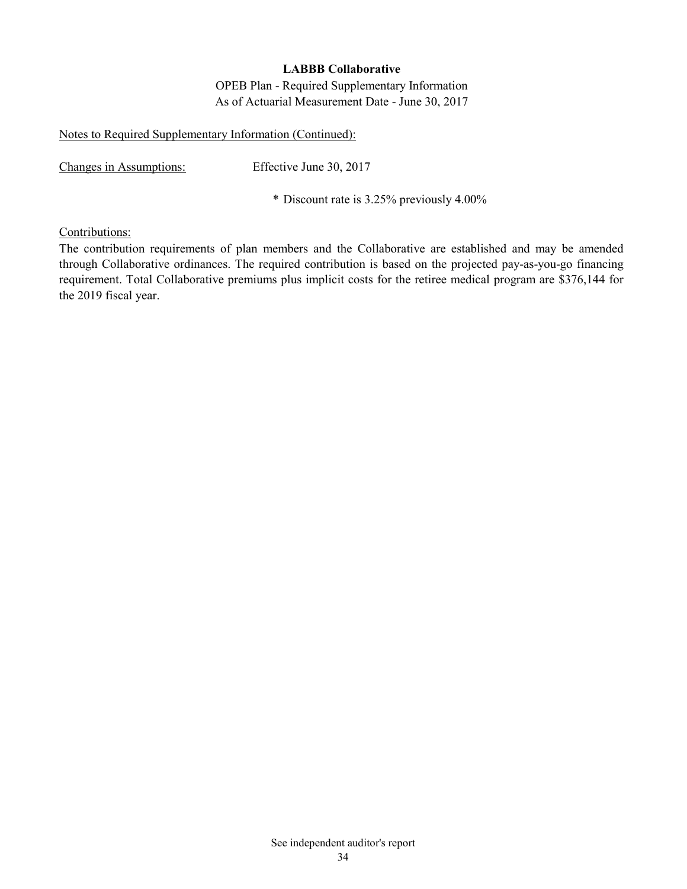OPEB Plan - Required Supplementary Information As of Actuarial Measurement Date - June 30, 2017

## Notes to Required Supplementary Information (Continued):

Changes in Assumptions: Effective June 30, 2017

\* Discount rate is 3.25% previously 4.00%

## Contributions:

The contribution requirements of plan members and the Collaborative are established and may be amended through Collaborative ordinances. The required contribution is based on the projected pay-as-you-go financing requirement. Total Collaborative premiums plus implicit costs for the retiree medical program are \$376,144 for the 2019 fiscal year.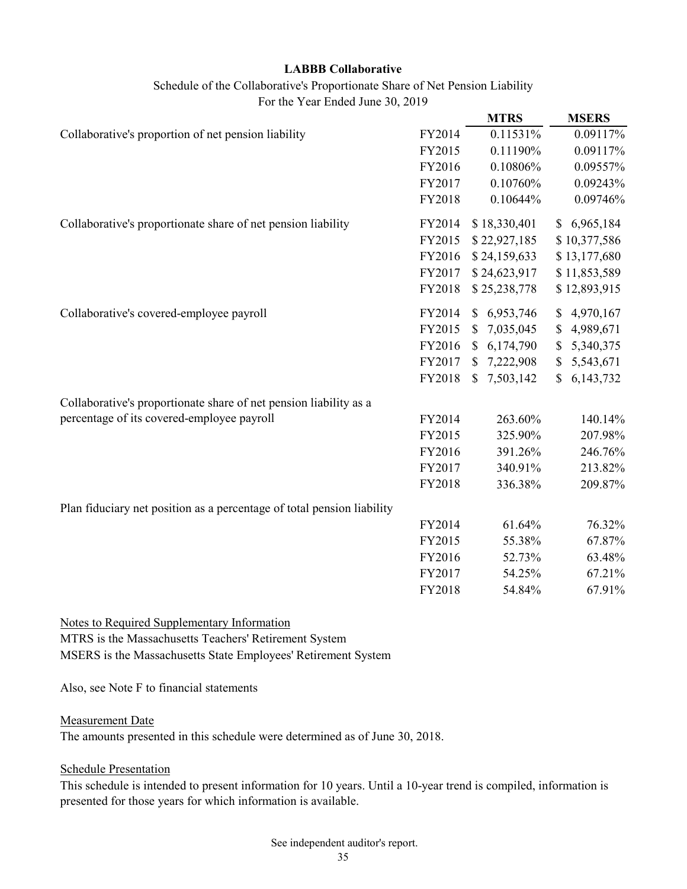## Schedule of the Collaborative's Proportionate Share of Net Pension Liability For the Year Ended June 30, 2019

|                                                                        |        | <b>MTRS</b>               | <b>MSERS</b>              |
|------------------------------------------------------------------------|--------|---------------------------|---------------------------|
| Collaborative's proportion of net pension liability                    | FY2014 | 0.11531%                  | 0.09117%                  |
|                                                                        | FY2015 | 0.11190%                  | 0.09117%                  |
|                                                                        | FY2016 | 0.10806%                  | 0.09557%                  |
|                                                                        | FY2017 | 0.10760%                  | 0.09243%                  |
|                                                                        | FY2018 | 0.10644%                  | 0.09746%                  |
| Collaborative's proportionate share of net pension liability           | FY2014 | \$18,330,401              | \$6,965,184               |
|                                                                        | FY2015 | \$22,927,185              | \$10,377,586              |
|                                                                        | FY2016 | \$24,159,633              | \$13,177,680              |
|                                                                        | FY2017 | \$24,623,917              | \$11,853,589              |
|                                                                        | FY2018 | \$25,238,778              | \$12,893,915              |
| Collaborative's covered-employee payroll                               | FY2014 | \$6,953,746               | \$<br>4,970,167           |
|                                                                        | FY2015 | 7,035,045                 | 4,989,671<br>\$           |
|                                                                        | FY2016 | 6,174,790<br>\$           | \$<br>5,340,375           |
|                                                                        | FY2017 | 7,222,908<br>S            | 5,543,671<br>$\mathbb{S}$ |
|                                                                        | FY2018 | 7,503,142<br>$\mathbb{S}$ | \$6,143,732               |
| Collaborative's proportionate share of net pension liability as a      |        |                           |                           |
| percentage of its covered-employee payroll                             | FY2014 | 263.60%                   | 140.14%                   |
|                                                                        | FY2015 | 325.90%                   | 207.98%                   |
|                                                                        | FY2016 | 391.26%                   | 246.76%                   |
|                                                                        | FY2017 | 340.91%                   | 213.82%                   |
|                                                                        | FY2018 | 336.38%                   | 209.87%                   |
| Plan fiduciary net position as a percentage of total pension liability |        |                           |                           |
|                                                                        | FY2014 | 61.64%                    | 76.32%                    |
|                                                                        | FY2015 | 55.38%                    | 67.87%                    |
|                                                                        | FY2016 | 52.73%                    | 63.48%                    |
|                                                                        | FY2017 | 54.25%                    | 67.21%                    |
|                                                                        | FY2018 | 54.84%                    | 67.91%                    |
|                                                                        |        |                           |                           |

Notes to Required Supplementary Information MTRS is the Massachusetts Teachers' Retirement System MSERS is the Massachusetts State Employees' Retirement System

Also, see Note F to financial statements

## Measurement Date

The amounts presented in this schedule were determined as of June 30, 2018.

## Schedule Presentation

This schedule is intended to present information for 10 years. Until a 10-year trend is compiled, information is presented for those years for which information is available.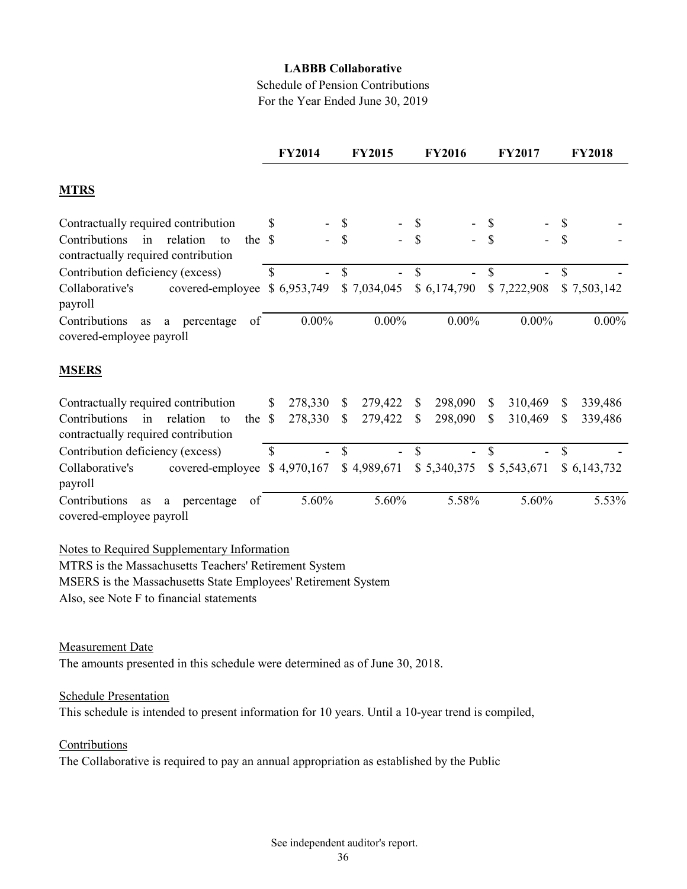Schedule of Pension Contributions For the Year Ended June 30, 2019

|                                                                                     |              | <b>FY2014</b> |                    | <b>FY2015</b> |             | <b>FY2016</b> |    | <b>FY2017</b> |               | <b>FY2018</b> |
|-------------------------------------------------------------------------------------|--------------|---------------|--------------------|---------------|-------------|---------------|----|---------------|---------------|---------------|
| <b>MTRS</b>                                                                         |              |               |                    |               |             |               |    |               |               |               |
| Contractually required contribution                                                 | \$           |               |                    |               |             |               |    |               |               |               |
| Contributions<br>in relation<br>the \$<br>to<br>contractually required contribution |              |               |                    |               |             |               |    |               | $\mathcal{S}$ |               |
| Contribution deficiency (excess)                                                    | \$           |               | \$                 |               | $\mathbf S$ |               | \$ |               | $\mathbb{S}$  |               |
| Collaborative's<br>covered-employee<br>payroll                                      |              | \$6,953,749   |                    | \$7,034,045   |             | \$6,174,790   |    | \$7,222,908   |               | \$7,503,142   |
| Contributions<br>a percentage<br>as<br>of<br>covered-employee payroll               |              | $0.00\%$      |                    | $0.00\%$      |             | $0.00\%$      |    | $0.00\%$      |               | $0.00\%$      |
| <b>MSERS</b>                                                                        |              |               |                    |               |             |               |    |               |               |               |
| Contractually required contribution                                                 | \$           | 278,330       | \$                 | 279,422       | \$          | 298,090       | S. | 310,469       | \$            | 339,486       |
| Contributions<br>relation<br>in<br>to<br>the<br>contractually required contribution | $\mathbb{S}$ | 278,330       | \$                 | 279,422       | \$          | 298,090       | \$ | 310,469       | <sup>\$</sup> | 339,486       |
| Contribution deficiency (excess)                                                    | $\mathbf S$  |               | $\mathbf{\hat{S}}$ |               | \$          |               | \$ |               | \$            |               |
| Collaborative's<br>covered-employee<br>payroll                                      |              | \$4,970,167   |                    | \$4,989,671   |             | \$5,340,375   |    | \$5,543,671   |               | \$6,143,732   |
| Contributions<br>as a percentage<br>of<br>covered-employee payroll                  |              | 5.60%         |                    | 5.60%         |             | 5.58%         |    | 5.60%         |               | 5.53%         |

Notes to Required Supplementary Information

MTRS is the Massachusetts Teachers' Retirement System

MSERS is the Massachusetts State Employees' Retirement System

Also, see Note F to financial statements

## Measurement Date

The amounts presented in this schedule were determined as of June 30, 2018.

## Schedule Presentation

This schedule is intended to present information for 10 years. Until a 10-year trend is compiled,

## Contributions

The Collaborative is required to pay an annual appropriation as established by the Public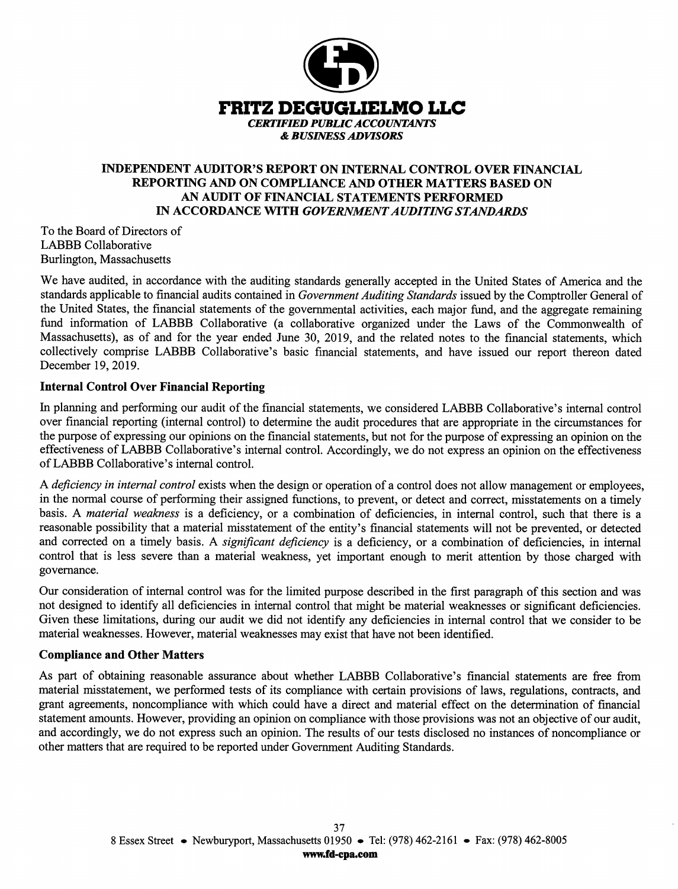

## **INDEPENDENT AUDITOR'S REPORT ON INTERNAL CONTROL OVER FINANCIAL** REPORTING AND ON COMPLIANCE AND OTHER MATTERS BASED ON AN AUDIT OF FINANCIAL STATEMENTS PERFORMED IN ACCORDANCE WITH GOVERNMENT AUDITING STANDARDS

To the Board of Directors of **LABBB** Collaborative Burlington, Massachusetts

We have audited, in accordance with the auditing standards generally accepted in the United States of America and the standards applicable to financial audits contained in Government Auditing Standards issued by the Comptroller General of the United States, the financial statements of the governmental activities, each major fund, and the aggregate remaining fund information of LABBB Collaborative (a collaborative organized under the Laws of the Commonwealth of Massachusetts), as of and for the year ended June 30, 2019, and the related notes to the financial statements, which collectively comprise LABBB Collaborative's basic financial statements, and have issued our report thereon dated December 19, 2019.

## **Internal Control Over Financial Reporting**

In planning and performing our audit of the financial statements, we considered LABBB Collaborative's internal control over financial reporting (internal control) to determine the audit procedures that are appropriate in the circumstances for the purpose of expressing our opinions on the financial statements, but not for the purpose of expressing an opinion on the effectiveness of LABBB Collaborative's internal control. Accordingly, we do not express an opinion on the effectiveness of LABBB Collaborative's internal control.

A deficiency in internal control exists when the design or operation of a control does not allow management or employees, in the normal course of performing their assigned functions, to prevent, or detect and correct, misstatements on a timely basis. A *material weakness* is a deficiency, or a combination of deficiencies, in internal control, such that there is a reasonable possibility that a material misstatement of the entity's financial statements will not be prevented, or detected and corrected on a timely basis. A *significant deficiency* is a deficiency, or a combination of deficiencies, in internal control that is less severe than a material weakness, yet important enough to merit attention by those charged with governance.

Our consideration of internal control was for the limited purpose described in the first paragraph of this section and was not designed to identify all deficiencies in internal control that might be material weaknesses or significant deficiencies. Given these limitations, during our audit we did not identify any deficiencies in internal control that we consider to be material weaknesses. However, material weaknesses may exist that have not been identified.

## **Compliance and Other Matters**

As part of obtaining reasonable assurance about whether LABBB Collaborative's financial statements are free from material misstatement, we performed tests of its compliance with certain provisions of laws, regulations, contracts, and grant agreements, noncompliance with which could have a direct and material effect on the determination of financial statement amounts. However, providing an opinion on compliance with those provisions was not an objective of our audit, and accordingly, we do not express such an opinion. The results of our tests disclosed no instances of noncompliance or other matters that are required to be reported under Government Auditing Standards.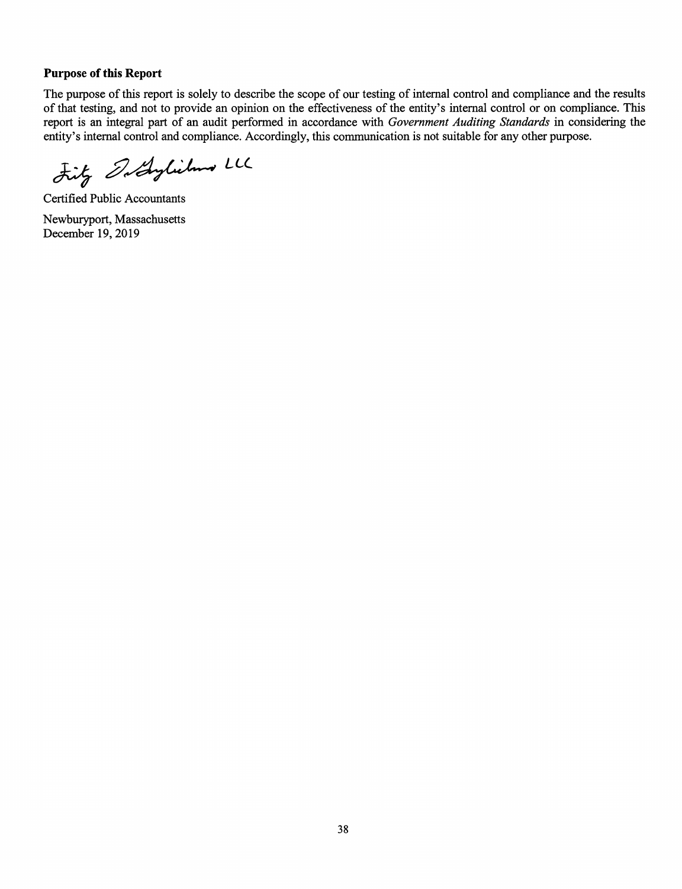## **Purpose of this Report**

The purpose of this report is solely to describe the scope of our testing of internal control and compliance and the results of that testing, and not to provide an opinion on the effectiveness of the entity's internal control or on compliance. This report is an integral part of an audit performed in accordance with Government Auditing Standards in considering the entity's internal control and compliance. Accordingly, this communication is not suitable for any other purpose.

Lity Orlanglichus LL

**Certified Public Accountants** 

Newburyport, Massachusetts December 19, 2019